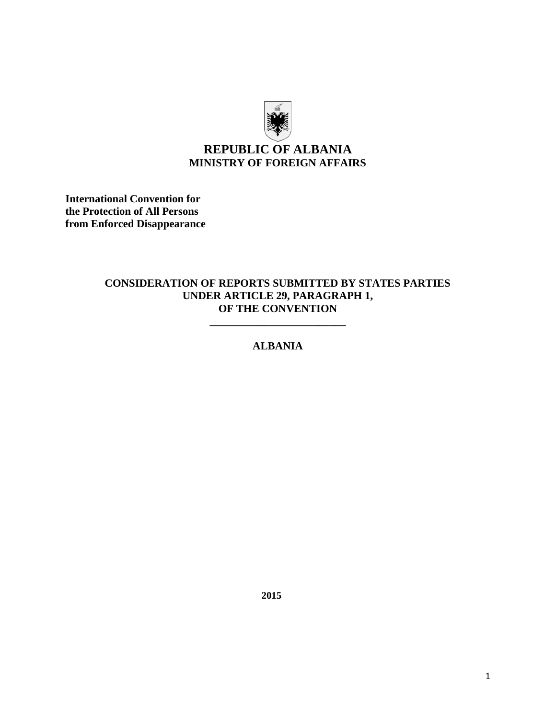

# **REPUBLIC OF ALBANIA MINISTRY OF FOREIGN AFFAIRS**

**International Convention for the Protection of All Persons from Enforced Disappearance**

#### **CONSIDERATION OF REPORTS SUBMITTED BY STATES PARTIES UNDER ARTICLE 29, PARAGRAPH 1, OF THE CONVENTION**

## **ALBANIA**

**\_\_\_\_\_\_\_\_\_\_\_\_\_\_\_\_\_\_\_\_\_\_\_\_\_**

**2015**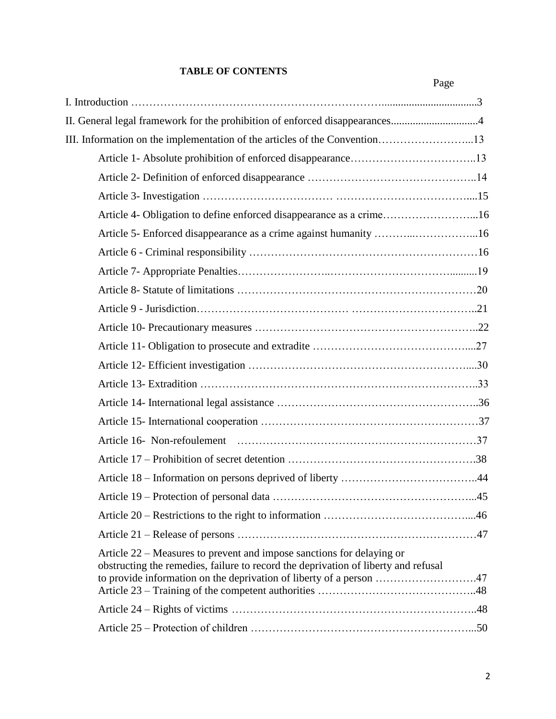## **TABLE OF CONTENTS**

|                                                                                                                                                                                                                                    | Page |
|------------------------------------------------------------------------------------------------------------------------------------------------------------------------------------------------------------------------------------|------|
|                                                                                                                                                                                                                                    |      |
| II. General legal framework for the prohibition of enforced disappearances4                                                                                                                                                        |      |
|                                                                                                                                                                                                                                    |      |
|                                                                                                                                                                                                                                    |      |
|                                                                                                                                                                                                                                    |      |
|                                                                                                                                                                                                                                    |      |
| Article 4- Obligation to define enforced disappearance as a crime16                                                                                                                                                                |      |
| Article 5- Enforced disappearance as a crime against humanity 16                                                                                                                                                                   |      |
|                                                                                                                                                                                                                                    |      |
|                                                                                                                                                                                                                                    |      |
|                                                                                                                                                                                                                                    |      |
|                                                                                                                                                                                                                                    |      |
|                                                                                                                                                                                                                                    |      |
|                                                                                                                                                                                                                                    |      |
|                                                                                                                                                                                                                                    |      |
|                                                                                                                                                                                                                                    |      |
|                                                                                                                                                                                                                                    |      |
|                                                                                                                                                                                                                                    |      |
|                                                                                                                                                                                                                                    |      |
|                                                                                                                                                                                                                                    |      |
|                                                                                                                                                                                                                                    |      |
|                                                                                                                                                                                                                                    |      |
|                                                                                                                                                                                                                                    |      |
|                                                                                                                                                                                                                                    |      |
| Article 22 – Measures to prevent and impose sanctions for delaying or<br>obstructing the remedies, failure to record the deprivation of liberty and refusal<br>to provide information on the deprivation of liberty of a person 47 |      |
|                                                                                                                                                                                                                                    |      |
|                                                                                                                                                                                                                                    |      |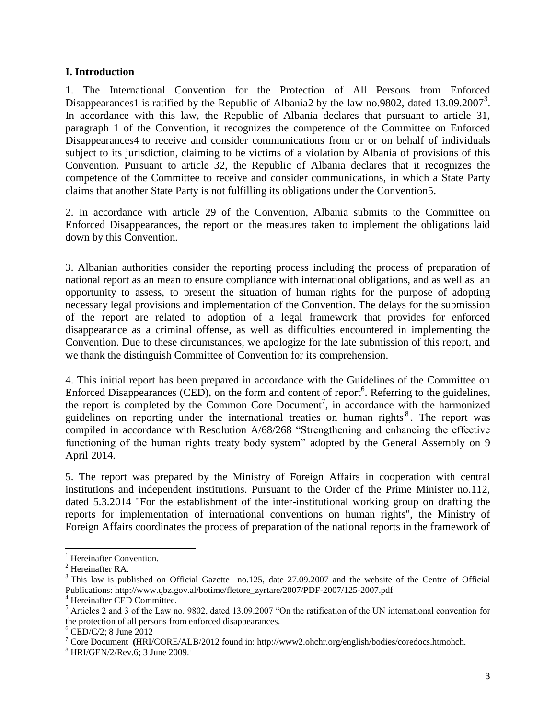#### **I. Introduction**

1. The International Convention for the Protection of All Persons from Enforced Disappearances1 is ratified by the Republic of Albania2 by the law no.9802, dated 13.09.2007<sup>3</sup>. In accordance with this law, the Republic of Albania declares that pursuant to article 31, paragraph 1 of the Convention, it recognizes the competence of the Committee on Enforced Disappearances4 to receive and consider communications from or or on behalf of individuals subject to its jurisdiction, claiming to be victims of a violation by Albania of provisions of this Convention. Pursuant to article 32, the Republic of Albania declares that it recognizes the competence of the Committee to receive and consider communications, in which a State Party claims that another State Party is not fulfilling its obligations under the Convention5.

2. In accordance with article 29 of the Convention, Albania submits to the Committee on Enforced Disappearances, the report on the measures taken to implement the obligations laid down by this Convention.

3. Albanian authorities consider the reporting process including the process of preparation of national report as an mean to ensure compliance with international obligations, and as well as an opportunity to assess, to present the situation of human rights for the purpose of adopting necessary legal provisions and implementation of the Convention. The delays for the submission of the report are related to adoption of a legal framework that provides for enforced disappearance as a criminal offense, as well as difficulties encountered in implementing the Convention. Due to these circumstances, we apologize for the late submission of this report, and we thank the distinguish Committee of Convention for its comprehension.

4. This initial report has been prepared in accordance with the Guidelines of the Committee on Enforced Disappearances (CED), on the form and content of report<sup>6</sup>. Referring to the guidelines, the report is completed by the Common Core Document<sup>7</sup>, in accordance with the harmonized guidelines on reporting under the international treaties on human rights<sup>8</sup>. The report was compiled in accordance with Resolution A/68/268 "Strengthening and enhancing the effective functioning of the human rights treaty body system" adopted by the General Assembly on 9 April 2014.

5. The report was prepared by the Ministry of Foreign Affairs in cooperation with central institutions and independent institutions. Pursuant to the Order of the Prime Minister no.112, dated 5.3.2014 "For the establishment of the inter-institutional working group on drafting the reports for implementation of international conventions on human rights", the Ministry of Foreign Affairs coordinates the process of preparation of the national reports in the framework of

 $\overline{\phantom{a}}$ 

 $<sup>1</sup>$  Hereinafter Convention.</sup>

<sup>2</sup> Hereinafter RA.

<sup>&</sup>lt;sup>3</sup> This law is published on Official Gazette no.125, date 27.09.2007 and the website of the Centre of Official Publications: http://www.qbz.gov.al/botime/fletore\_zyrtare/2007/PDF-2007/125-2007.pdf

<sup>4</sup> Hereinafter CED Committee.

 $<sup>5</sup>$  Articles 2 and 3 of the Law no. 9802, dated 13.09.2007 "On the ratification of the UN international convention for</sup> the protection of all persons from enforced disappearances.

 $<sup>6</sup>$  CED/C/2; 8 June 2012</sup>

<sup>7</sup> Core Document **(**HRI/CORE/ALB/2012 found in: http://www2.ohchr.org/english/bodies/coredocs.htmohch.

<sup>8</sup> HRI/GEN/2/Rev.6; 3 June 2009..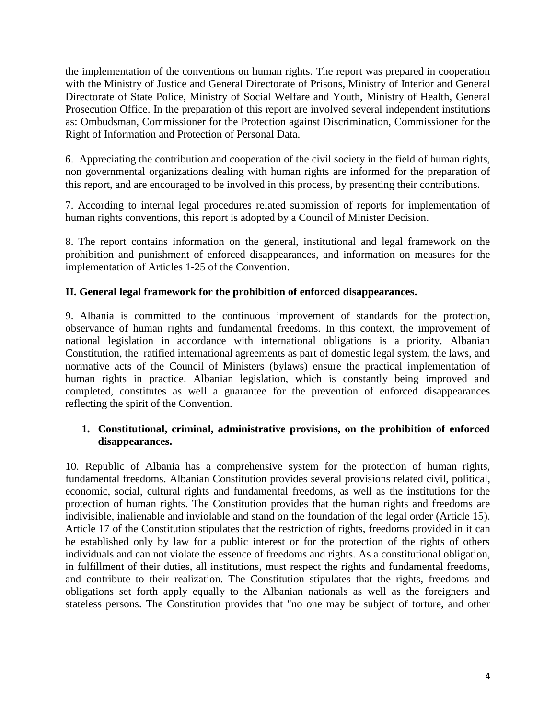the implementation of the conventions on human rights. The report was prepared in cooperation with the Ministry of Justice and General Directorate of Prisons, Ministry of Interior and General Directorate of State Police, Ministry of Social Welfare and Youth, Ministry of Health, General Prosecution Office. In the preparation of this report are involved several independent institutions as: Ombudsman, Commissioner for the Protection against Discrimination, Commissioner for the Right of Information and Protection of Personal Data.

6. Appreciating the contribution and cooperation of the civil society in the field of human rights, non governmental organizations dealing with human rights are informed for the preparation of this report, and are encouraged to be involved in this process, by presenting their contributions.

7. According to internal legal procedures related submission of reports for implementation of human rights conventions, this report is adopted by a Council of Minister Decision.

8. The report contains information on the general, institutional and legal framework on the prohibition and punishment of enforced disappearances, and information on measures for the implementation of Articles 1-25 of the Convention.

## **II. General legal framework for the prohibition of enforced disappearances.**

9. Albania is committed to the continuous improvement of standards for the protection, observance of human rights and fundamental freedoms. In this context, the improvement of national legislation in accordance with international obligations is a priority. Albanian Constitution, the ratified international agreements as part of domestic legal system, the laws, and normative acts of the Council of Ministers (bylaws) ensure the practical implementation of human rights in practice. Albanian legislation, which is constantly being improved and completed, constitutes as well a guarantee for the prevention of enforced disappearances reflecting the spirit of the Convention.

## **1. Constitutional, criminal, administrative provisions, on the prohibition of enforced disappearances.**

10. Republic of Albania has a comprehensive system for the protection of human rights, fundamental freedoms. Albanian Constitution provides several provisions related civil, political, economic, social, cultural rights and fundamental freedoms, as well as the institutions for the protection of human rights. The Constitution provides that the human rights and freedoms are indivisible, inalienable and inviolable and stand on the foundation of the legal order (Article 15). Article 17 of the Constitution stipulates that the restriction of rights, freedoms provided in it can be established only by law for a public interest or for the protection of the rights of others individuals and can not violate the essence of freedoms and rights. As a constitutional obligation, in fulfillment of their duties, all institutions, must respect the rights and fundamental freedoms, and contribute to their realization. The Constitution stipulates that the rights, freedoms and obligations set forth apply equally to the Albanian nationals as well as the foreigners and stateless persons. The Constitution provides that "no one may be subject of torture, and other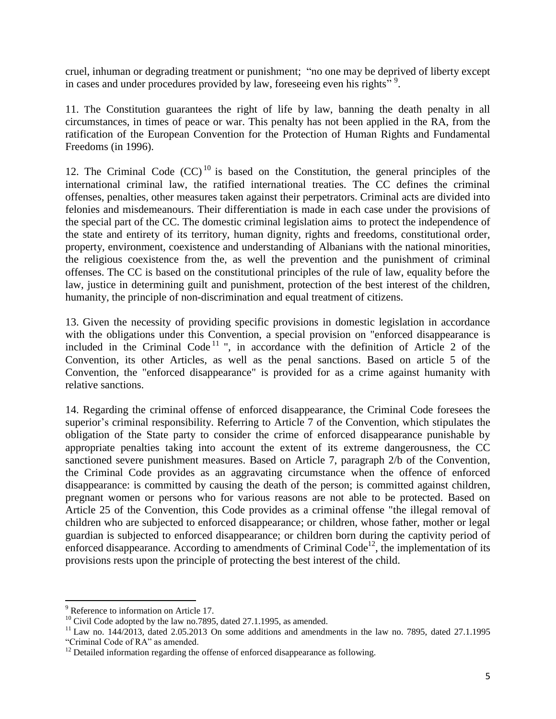cruel, inhuman or degrading treatment or punishment; "no one may be deprived of liberty except in cases and under procedures provided by law, foreseeing even his rights<sup>"</sup>.

11. The Constitution guarantees the right of life by law, banning the death penalty in all circumstances, in times of peace or war. This penalty has not been applied in the RA, from the ratification of the European Convention for the Protection of Human Rights and Fundamental Freedoms (in 1996).

12. The Criminal Code  $(CC)^{10}$  is based on the Constitution, the general principles of the international criminal law, the ratified international treaties. The CC defines the criminal offenses, penalties, other measures taken against their perpetrators. Criminal acts are divided into felonies and misdemeanours. Their differentiation is made in each case under the provisions of the special part of the CC. The domestic criminal legislation aims to protect the independence of the state and entirety of its territory, human dignity, rights and freedoms, constitutional order, property, environment, coexistence and understanding of Albanians with the national minorities, the religious coexistence from the, as well the prevention and the punishment of criminal offenses. The CC is based on the constitutional principles of the rule of law, equality before the law, justice in determining guilt and punishment, protection of the best interest of the children, humanity, the principle of non-discrimination and equal treatment of citizens.

13. Given the necessity of providing specific provisions in domestic legislation in accordance with the obligations under this Convention, a special provision on "enforced disappearance is included in the Criminal Code<sup>11</sup> ", in accordance with the definition of Article 2 of the Convention, its other Articles, as well as the penal sanctions. Based on article 5 of the Convention, the "enforced disappearance" is provided for as a crime against humanity with relative sanctions.

14. Regarding the criminal offense of enforced disappearance, the Criminal Code foresees the superior's criminal responsibility. Referring to Article 7 of the Convention, which stipulates the obligation of the State party to consider the crime of enforced disappearance punishable by appropriate penalties taking into account the extent of its extreme dangerousness, the CC sanctioned severe punishment measures. Based on Article 7, paragraph 2/b of the Convention, the Criminal Code provides as an aggravating circumstance when the offence of enforced disappearance: is committed by causing the death of the person; is committed against children, pregnant women or persons who for various reasons are not able to be protected. Based on Article 25 of the Convention, this Code provides as a criminal offense "the illegal removal of children who are subjected to enforced disappearance; or children, whose father, mother or legal guardian is subjected to enforced disappearance; or children born during the captivity period of enforced disappearance. According to amendments of Criminal Code<sup>12</sup>, the implementation of its provisions rests upon the principle of protecting the best interest of the child.

 $\overline{\phantom{a}}$ 

<sup>&</sup>lt;sup>9</sup> Reference to information on Article 17.

 $10$  Civil Code adopted by the law no.7895, dated 27.1.1995, as amended.

 $11$  Law no. 144/2013, dated 2.05.2013 On some additions and amendments in the law no. 7895, dated 27.1.1995 "Criminal Code of RA" as amended.

 $12$  Detailed information regarding the offense of enforced disappearance as following.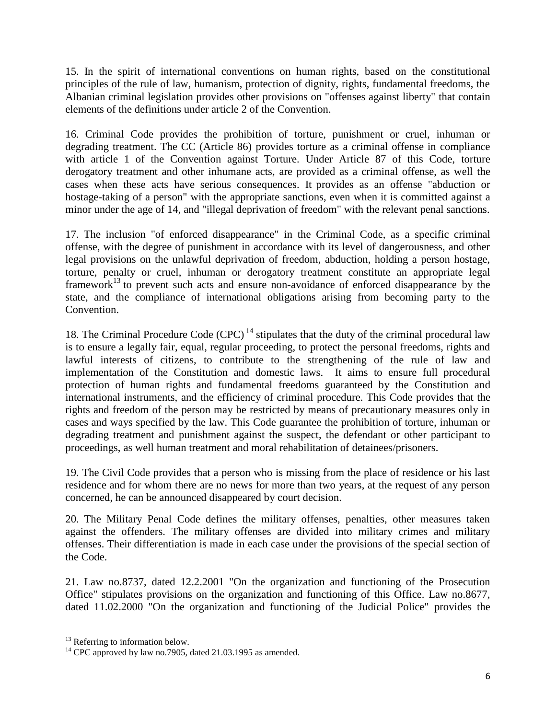15. In the spirit of international conventions on human rights, based on the constitutional principles of the rule of law, humanism, protection of dignity, rights, fundamental freedoms, the Albanian criminal legislation provides other provisions on "offenses against liberty" that contain elements of the definitions under article 2 of the Convention.

16. Criminal Code provides the prohibition of torture, punishment or cruel, inhuman or degrading treatment. The CC (Article 86) provides torture as a criminal offense in compliance with article 1 of the Convention against Torture. Under Article 87 of this Code, torture derogatory treatment and other inhumane acts, are provided as a criminal offense, as well the cases when these acts have serious consequences. It provides as an offense "abduction or hostage-taking of a person" with the appropriate sanctions, even when it is committed against a minor under the age of 14, and "illegal deprivation of freedom" with the relevant penal sanctions.

17. The inclusion "of enforced disappearance" in the Criminal Code, as a specific criminal offense, with the degree of punishment in accordance with its level of dangerousness, and other legal provisions on the unlawful deprivation of freedom, abduction, holding a person hostage, torture, penalty or cruel, inhuman or derogatory treatment constitute an appropriate legal framework<sup>13</sup> to prevent such acts and ensure non-avoidance of enforced disappearance by the state, and the compliance of international obligations arising from becoming party to the Convention.

18. The Criminal Procedure Code  $(CPC)^{14}$  stipulates that the duty of the criminal procedural law is to ensure a legally fair, equal, regular proceeding, to protect the personal freedoms, rights and lawful interests of citizens, to contribute to the strengthening of the rule of law and implementation of the Constitution and domestic laws. It aims to ensure full procedural protection of human rights and fundamental freedoms guaranteed by the Constitution and international instruments, and the efficiency of criminal procedure. This Code provides that the rights and freedom of the person may be restricted by means of precautionary measures only in cases and ways specified by the law. This Code guarantee the prohibition of torture, inhuman or degrading treatment and punishment against the suspect, the defendant or other participant to proceedings, as well human treatment and moral rehabilitation of detainees/prisoners.

19. The Civil Code provides that a person who is missing from the place of residence or his last residence and for whom there are no news for more than two years, at the request of any person concerned, he can be announced disappeared by court decision.

20. The Military Penal Code defines the military offenses, penalties, other measures taken against the offenders. The military offenses are divided into military crimes and military offenses. Their differentiation is made in each case under the provisions of the special section of the Code.

21. Law no.8737, dated 12.2.2001 "On the organization and functioning of the Prosecution Office" stipulates provisions on the organization and functioning of this Office. Law no.8677, dated 11.02.2000 "On the organization and functioning of the Judicial Police" provides the

 $\overline{a}$ 

 $13$  Referring to information below.

 $14$  CPC approved by law no.7905, dated 21.03.1995 as amended.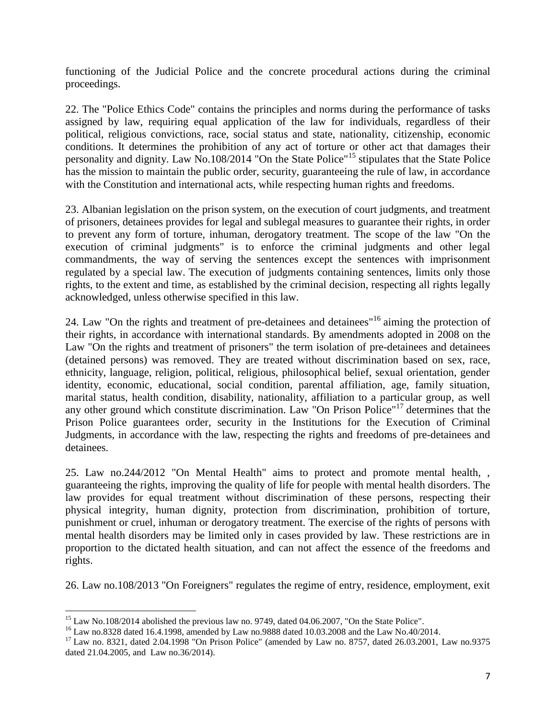functioning of the Judicial Police and the concrete procedural actions during the criminal proceedings.

22. The "Police Ethics Code" contains the principles and norms during the performance of tasks assigned by law, requiring equal application of the law for individuals, regardless of their political, religious convictions, race, social status and state, nationality, citizenship, economic conditions. It determines the prohibition of any act of torture or other act that damages their personality and dignity. Law No.108/2014 "On the State Police"<sup>15</sup> stipulates that the State Police has the mission to maintain the public order, security, guaranteeing the rule of law, in accordance with the Constitution and international acts, while respecting human rights and freedoms.

23. Albanian legislation on the prison system, on the execution of court judgments, and treatment of prisoners, detainees provides for legal and sublegal measures to guarantee their rights, in order to prevent any form of torture, inhuman, derogatory treatment. The scope of the law "On the execution of criminal judgments" is to enforce the criminal judgments and other legal commandments, the way of serving the sentences except the sentences with imprisonment regulated by a special law. The execution of judgments containing sentences, limits only those rights, to the extent and time, as established by the criminal decision, respecting all rights legally acknowledged, unless otherwise specified in this law.

24. Law "On the rights and treatment of pre-detainees and detainees"<sup>16</sup> aiming the protection of their rights, in accordance with international standards. By amendments adopted in 2008 on the Law "On the rights and treatment of prisoners" the term isolation of pre-detainees and detainees (detained persons) was removed. They are treated without discrimination based on sex, race, ethnicity, language, religion, political, religious, philosophical belief, sexual orientation, gender identity, economic, educational, social condition, parental affiliation, age, family situation, marital status, health condition, disability, nationality, affiliation to a particular group, as well any other ground which constitute discrimination. Law "On Prison Police"<sup>17</sup> determines that the Prison Police guarantees order, security in the Institutions for the Execution of Criminal Judgments, in accordance with the law, respecting the rights and freedoms of pre-detainees and detainees.

25. Law no.244/2012 "On Mental Health" aims to protect and promote mental health, , guaranteeing the rights, improving the quality of life for people with mental health disorders. The law provides for equal treatment without discrimination of these persons, respecting their physical integrity, human dignity, protection from discrimination, prohibition of torture, punishment or cruel, inhuman or derogatory treatment. The exercise of the rights of persons with mental health disorders may be limited only in cases provided by law. These restrictions are in proportion to the dictated health situation, and can not affect the essence of the freedoms and rights.

26. Law no.108/2013 "On Foreigners" regulates the regime of entry, residence, employment, exit

 $\overline{\phantom{a}}$  $15$  Law No.108/2014 abolished the previous law no. 9749, dated 04.06.2007, "On the State Police".

<sup>16</sup> Law no.8328 dated 16.4.1998, amended by Law no.9888 dated 10.03.2008 and the Law No.40/2014.

<sup>17</sup> Law no. 8321, dated 2.04.1998 "On Prison Police" (amended by Law no. 8757, dated 26.03.2001, Law no.9375 dated 21.04.2005, and Law no.36/2014).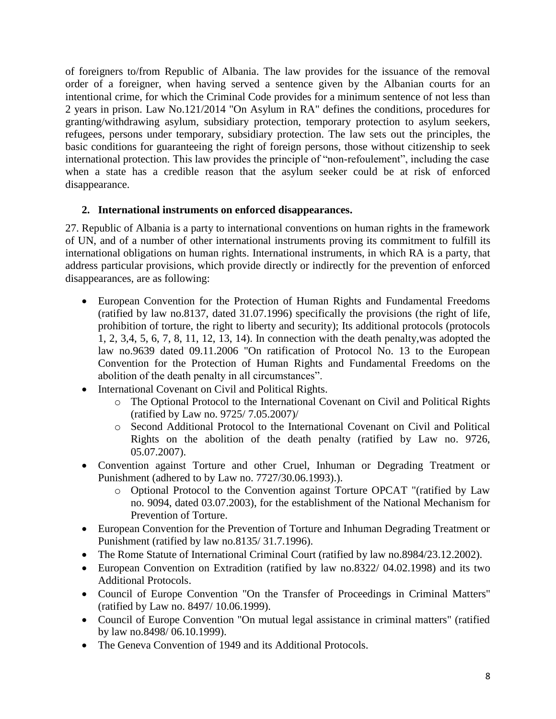of foreigners to/from Republic of Albania. The law provides for the issuance of the removal order of a foreigner, when having served a sentence given by the Albanian courts for an intentional crime, for which the Criminal Code provides for a minimum sentence of not less than 2 years in prison. Law No.121/2014 "On Asylum in RA" defines the conditions, procedures for granting/withdrawing asylum, subsidiary protection, temporary protection to asylum seekers, refugees, persons under temporary, subsidiary protection. The law sets out the principles, the basic conditions for guaranteeing the right of foreign persons, those without citizenship to seek international protection. This law provides the principle of "non-refoulement", including the case when a state has a credible reason that the asylum seeker could be at risk of enforced disappearance.

## **2. International instruments on enforced disappearances.**

27. Republic of Albania is a party to international conventions on human rights in the framework of UN, and of a number of other international instruments proving its commitment to fulfill its international obligations on human rights. International instruments, in which RA is a party, that address particular provisions, which provide directly or indirectly for the prevention of enforced disappearances, are as following:

- European Convention for the Protection of Human Rights and Fundamental Freedoms (ratified by law no.8137, dated 31.07.1996) specifically the provisions (the right of life, prohibition of torture, the right to liberty and security); Its additional protocols (protocols 1, 2, 3,4, 5, 6, 7, 8, 11, 12, 13, 14). In connection with the death penalty,was adopted the law no.9639 dated 09.11.2006 "On ratification of Protocol No. 13 to the European Convention for the Protection of Human Rights and Fundamental Freedoms on the abolition of the death penalty in all circumstances".
- International Covenant on Civil and Political Rights.
	- o The Optional Protocol to the International Covenant on Civil and Political Rights (ratified by Law no. 9725/ 7.05.2007)/
	- o Second Additional Protocol to the International Covenant on Civil and Political Rights on the abolition of the death penalty (ratified by Law no. 9726, 05.07.2007).
- Convention against Torture and other Cruel, Inhuman or Degrading Treatment or Punishment (adhered to by Law no. 7727/30.06.1993).).
	- o Optional Protocol to the Convention against Torture OPCAT "(ratified by Law no. 9094, dated 03.07.2003), for the establishment of the National Mechanism for Prevention of Torture.
- European Convention for the Prevention of Torture and Inhuman Degrading Treatment or Punishment (ratified by law no.8135/ 31.7.1996).
- The Rome Statute of International Criminal Court (ratified by law no.8984/23.12.2002).
- European Convention on Extradition (ratified by law no.8322/ 04.02.1998) and its two Additional Protocols.
- Council of Europe Convention "On the Transfer of Proceedings in Criminal Matters" (ratified by Law no. 8497/ 10.06.1999).
- Council of Europe Convention "On mutual legal assistance in criminal matters" (ratified by law no.8498/ 06.10.1999).
- The Geneva Convention of 1949 and its Additional Protocols.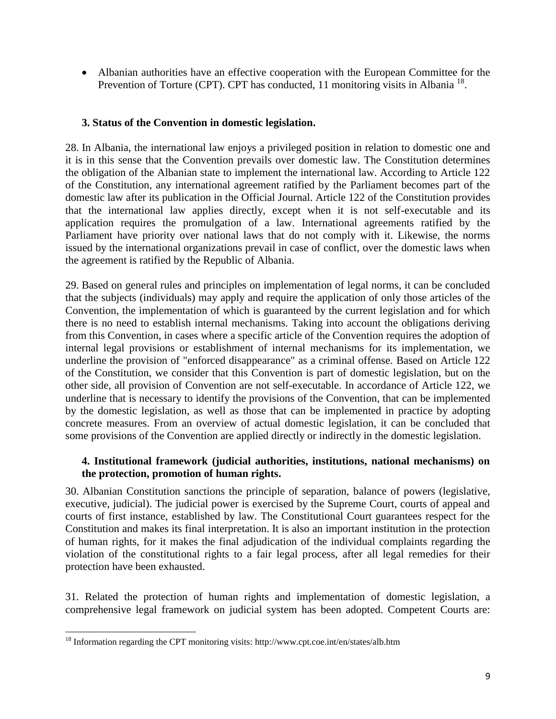Albanian authorities have an effective cooperation with the European Committee for the Prevention of Torture (CPT). CPT has conducted, 11 monitoring visits in Albania<sup>18</sup>.

### **3. Status of the Convention in domestic legislation.**

28. In Albania, the international law enjoys a privileged position in relation to domestic one and it is in this sense that the Convention prevails over domestic law. The Constitution determines the obligation of the Albanian state to implement the international law. According to Article 122 of the Constitution, any international agreement ratified by the Parliament becomes part of the domestic law after its publication in the Official Journal. Article 122 of the Constitution provides that the international law applies directly, except when it is not self-executable and its application requires the promulgation of a law. International agreements ratified by the Parliament have priority over national laws that do not comply with it. Likewise, the norms issued by the international organizations prevail in case of conflict, over the domestic laws when the agreement is ratified by the Republic of Albania.

29. Based on general rules and principles on implementation of legal norms, it can be concluded that the subjects (individuals) may apply and require the application of only those articles of the Convention, the implementation of which is guaranteed by the current legislation and for which there is no need to establish internal mechanisms. Taking into account the obligations deriving from this Convention, in cases where a specific article of the Convention requires the adoption of internal legal provisions or establishment of internal mechanisms for its implementation, we underline the provision of "enforced disappearance" as a criminal offense. Based on Article 122 of the Constitution, we consider that this Convention is part of domestic legislation, but on the other side, all provision of Convention are not self-executable. In accordance of Article 122, we underline that is necessary to identify the provisions of the Convention, that can be implemented by the domestic legislation, as well as those that can be implemented in practice by adopting concrete measures. From an overview of actual domestic legislation, it can be concluded that some provisions of the Convention are applied directly or indirectly in the domestic legislation.

#### **4. Institutional framework (judicial authorities, institutions, national mechanisms) on the protection, promotion of human rights.**

30. Albanian Constitution sanctions the principle of separation, balance of powers (legislative, executive, judicial). The judicial power is exercised by the Supreme Court, courts of appeal and courts of first instance, established by law. The Constitutional Court guarantees respect for the Constitution and makes its final interpretation. It is also an important institution in the protection of human rights, for it makes the final adjudication of the individual complaints regarding the violation of the constitutional rights to a fair legal process, after all legal remedies for their protection have been exhausted.

31. Related the protection of human rights and implementation of domestic legislation, a comprehensive legal framework on judicial system has been adopted. Competent Courts are:

 $\overline{a}$ 

<sup>&</sup>lt;sup>18</sup> Information regarding the CPT monitoring visits: http://www.cpt.coe.int/en/states/alb.htm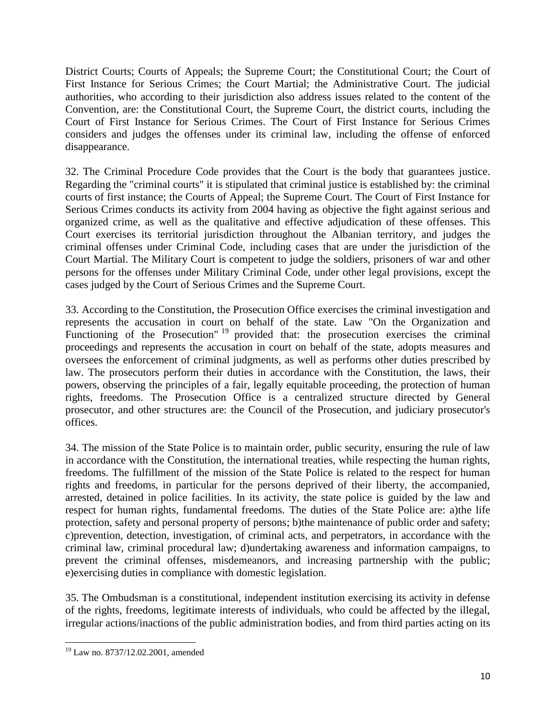District Courts; Courts of Appeals; the Supreme Court; the Constitutional Court; the Court of First Instance for Serious Crimes; the Court Martial; the Administrative Court. The judicial authorities, who according to their jurisdiction also address issues related to the content of the Convention, are: the Constitutional Court, the Supreme Court, the district courts, including the Court of First Instance for Serious Crimes. The Court of First Instance for Serious Crimes considers and judges the offenses under its criminal law, including the offense of enforced disappearance.

32. The Criminal Procedure Code provides that the Court is the body that guarantees justice. Regarding the "criminal courts" it is stipulated that criminal justice is established by: the criminal courts of first instance; the Courts of Appeal; the Supreme Court. The Court of First Instance for Serious Crimes conducts its activity from 2004 having as objective the fight against serious and organized crime, as well as the qualitative and effective adjudication of these offenses. This Court exercises its territorial jurisdiction throughout the Albanian territory, and judges the criminal offenses under Criminal Code, including cases that are under the jurisdiction of the Court Martial. The Military Court is competent to judge the soldiers, prisoners of war and other persons for the offenses under Military Criminal Code, under other legal provisions, except the cases judged by the Court of Serious Crimes and the Supreme Court.

33. According to the Constitution, the Prosecution Office exercises the criminal investigation and represents the accusation in court on behalf of the state. Law "On the Organization and Functioning of the Prosecution"<sup>19</sup> provided that: the prosecution exercises the criminal proceedings and represents the accusation in court on behalf of the state, adopts measures and oversees the enforcement of criminal judgments, as well as performs other duties prescribed by law. The prosecutors perform their duties in accordance with the Constitution, the laws, their powers, observing the principles of a fair, legally equitable proceeding, the protection of human rights, freedoms. The Prosecution Office is a centralized structure directed by General prosecutor, and other structures are: the Council of the Prosecution, and judiciary prosecutor's offices.

34. The mission of the State Police is to maintain order, public security, ensuring the rule of law in accordance with the Constitution, the international treaties, while respecting the human rights, freedoms. The fulfillment of the mission of the State Police is related to the respect for human rights and freedoms, in particular for the persons deprived of their liberty, the accompanied, arrested, detained in police facilities. In its activity, the state police is guided by the law and respect for human rights, fundamental freedoms. The duties of the State Police are: a)the life protection, safety and personal property of persons; b)the maintenance of public order and safety; c)prevention, detection, investigation, of criminal acts, and perpetrators, in accordance with the criminal law, criminal procedural law; d)undertaking awareness and information campaigns, to prevent the criminal offenses, misdemeanors, and increasing partnership with the public; e)exercising duties in compliance with domestic legislation.

35. The Ombudsman is a constitutional, independent institution exercising its activity in defense of the rights, freedoms, legitimate interests of individuals, who could be affected by the illegal, irregular actions/inactions of the public administration bodies, and from third parties acting on its

 $\overline{\phantom{a}}$ <sup>19</sup> Law no. 8737/12.02.2001, amended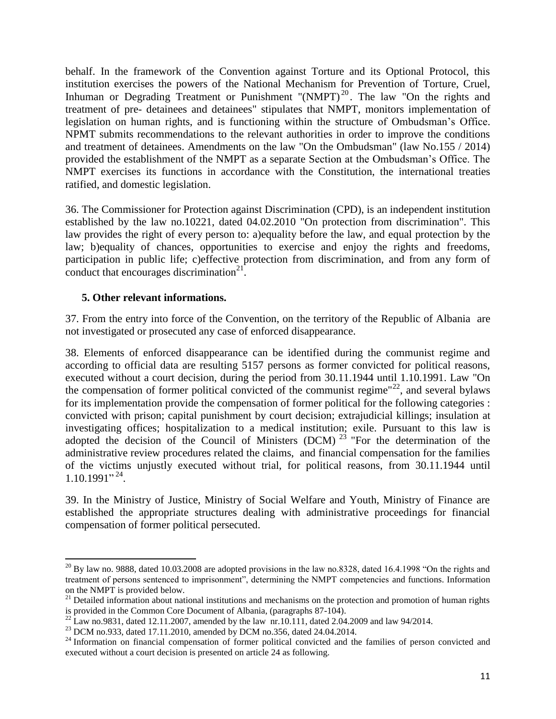behalf. In the framework of the Convention against Torture and its Optional Protocol, this institution exercises the powers of the National Mechanism for Prevention of Torture, Cruel, Inhuman or Degrading Treatment or Punishment "(NMPT)<sup>20</sup>. The law "On the rights and treatment of pre- detainees and detainees" stipulates that NMPT, monitors implementation of legislation on human rights, and is functioning within the structure of Ombudsman's Office. NPMT submits recommendations to the relevant authorities in order to improve the conditions and treatment of detainees. Amendments on the law "On the Ombudsman" (law No.155 / 2014) provided the establishment of the NMPT as a separate Section at the Ombudsman's Office. The NMPT exercises its functions in accordance with the Constitution, the international treaties ratified, and domestic legislation.

36. The Commissioner for Protection against Discrimination (CPD), is an independent institution established by the law no.10221, dated 04.02.2010 "On protection from discrimination". This law provides the right of every person to: a)equality before the law, and equal protection by the law; b)equality of chances, opportunities to exercise and enjoy the rights and freedoms, participation in public life; c)effective protection from discrimination, and from any form of conduct that encourages discrimination $21$ .

## **5. Other relevant informations.**

l

37. From the entry into force of the Convention, on the territory of the Republic of Albania are not investigated or prosecuted any case of enforced disappearance.

38. Elements of enforced disappearance can be identified during the communist regime and according to official data are resulting 5157 persons as former convicted for political reasons, executed without a court decision, during the period from 30.11.1944 until 1.10.1991. Law "On the compensation of former political convicted of the communist regime"<sup>22</sup>, and several bylaws for its implementation provide the compensation of former political for the following categories : convicted with prison; capital punishment by court decision; extrajudicial killings; insulation at investigating offices; hospitalization to a medical institution; exile. Pursuant to this law is adopted the decision of the Council of Ministers (DCM)  $^{23}$  "For the determination of the administrative review procedures related the claims, and financial compensation for the families of the victims unjustly executed without trial, for political reasons, from 30.11.1944 until 1.10.1991" 24 .

39. In the Ministry of Justice, Ministry of Social Welfare and Youth, Ministry of Finance are established the appropriate structures dealing with administrative proceedings for financial compensation of former political persecuted.

 $^{20}$  By law no. 9888, dated 10.03.2008 are adopted provisions in the law no.8328, dated 16.4.1998 "On the rights and treatment of persons sentenced to imprisonment", determining the NMPT competencies and functions. Information on the NMPT is provided below.

 $21$  Detailed information about national institutions and mechanisms on the protection and promotion of human rights is provided in the Common Core Document of Albania, (paragraphs 87-104).

 $\frac{22}{22}$  Law no.9831, dated 12.11.2007, amended by the law nr.10.111, dated 2.04.2009 and law 94/2014.

<sup>23</sup> DCM no.933, dated 17.11.2010, amended by DCM no.356, dated 24.04.2014.

<sup>&</sup>lt;sup>24</sup> Information on financial compensation of former political convicted and the families of person convicted and executed without a court decision is presented on article 24 as following.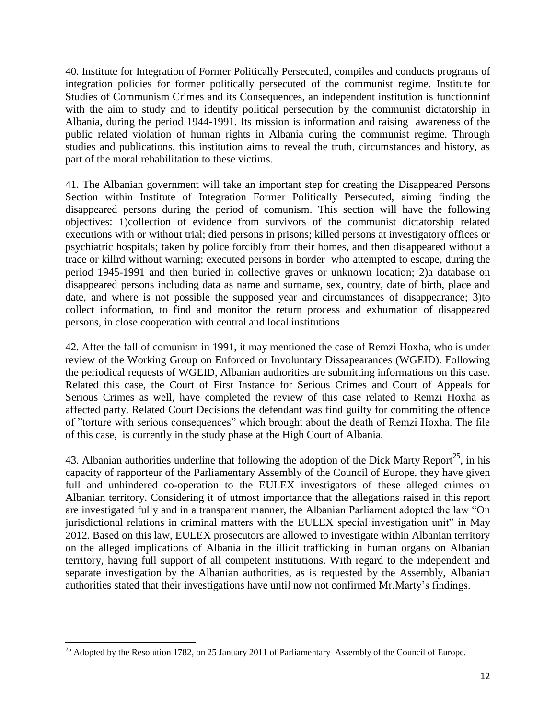40. Institute for Integration of Former Politically Persecuted, compiles and conducts programs of integration policies for former politically persecuted of the communist regime. Institute for Studies of Communism Crimes and its Consequences, an independent institution is functionninf with the aim to study and to identify political persecution by the communist dictatorship in Albania, during the period 1944-1991. Its mission is information and raising awareness of the public related violation of human rights in Albania during the communist regime. Through studies and publications, this institution aims to reveal the truth, circumstances and history, as part of the moral rehabilitation to these victims.

41. The Albanian government will take an important step for creating the Disappeared Persons Section within Institute of Integration Former Politically Persecuted, aiming finding the disappeared persons during the period of comunism. This section will have the following objectives: 1)collection of evidence from survivors of the communist dictatorship related executions with or without trial; died persons in prisons; killed persons at investigatory offices or psychiatric hospitals; taken by police forcibly from their homes, and then disappeared without a trace or killrd without warning; executed persons in border who attempted to escape, during the period 1945-1991 and then buried in collective graves or unknown location; 2)a database on disappeared persons including data as name and surname, sex, country, date of birth, place and date, and where is not possible the supposed year and circumstances of disappearance; 3)to collect information, to find and monitor the return process and exhumation of disappeared persons, in close cooperation with central and local institutions

42. After the fall of comunism in 1991, it may mentioned the case of Remzi Hoxha, who is under review of the Working Group on Enforced or Involuntary Dissapearances (WGEID). Following the periodical requests of WGEID, Albanian authorities are submitting informations on this case. Related this case, the Court of First Instance for Serious Crimes and Court of Appeals for Serious Crimes as well, have completed the review of this case related to Remzi Hoxha as affected party. Related Court Decisions the defendant was find guilty for commiting the offence of "torture with serious consequences" which brought about the death of Remzi Hoxha. The file of this case, is currently in the study phase at the High Court of Albania.

43. Albanian authorities underline that following the adoption of the Dick Marty Report<sup>25</sup>, in his capacity of rapporteur of the Parliamentary Assembly of the Council of Europe, they have given full and unhindered co-operation to the EULEX investigators of these alleged crimes on Albanian territory. Considering it of utmost importance that the allegations raised in this report are investigated fully and in a transparent manner, the Albanian Parliament adopted the law "On jurisdictional relations in criminal matters with the EULEX special investigation unit" in May 2012. Based on this law, EULEX prosecutors are allowed to investigate within Albanian territory on the alleged implications of Albania in the illicit trafficking in human organs on Albanian territory, having full support of all competent institutions. With regard to the independent and separate investigation by the Albanian authorities, as is requested by the Assembly, Albanian authorities stated that their investigations have until now not confirmed Mr.Marty's findings.

 $\overline{\phantom{a}}$ <sup>25</sup> Adopted by the Resolution 1782, on 25 January 2011 of Parliamentary Assembly of the Council of Europe.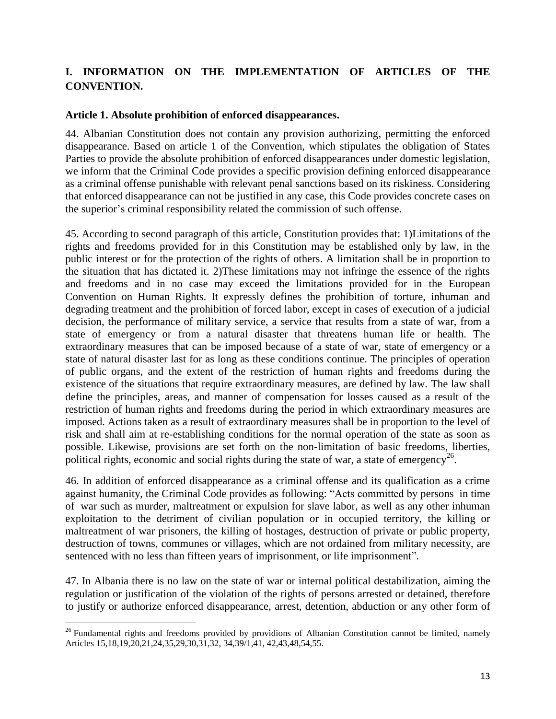# **I. INFORMATION ON THE IMPLEMENTATION OF ARTICLES OF THE CONVENTION.**

#### **Article 1. Absolute prohibition of enforced disappearances.**

44. Albanian Constitution does not contain any provision authorizing, permitting the enforced disappearance. Based on article 1 of the Convention, which stipulates the obligation of States Parties to provide the absolute prohibition of enforced disappearances under domestic legislation, we inform that the Criminal Code provides a specific provision defining enforced disappearance as a criminal offense punishable with relevant penal sanctions based on its riskiness. Considering that enforced disappearance can not be justified in any case, this Code provides concrete cases on the superior's criminal responsibility related the commission of such offense.

45. According to second paragraph of this article, Constitution provides that: 1)Limitations of the rights and freedoms provided for in this Constitution may be established only by law, in the public interest or for the protection of the rights of others. A limitation shall be in proportion to the situation that has dictated it. 2)These limitations may not infringe the essence of the rights and freedoms and in no case may exceed the limitations provided for in the European Convention on Human Rights. It expressly defines the prohibition of torture, inhuman and degrading treatment and the prohibition of forced labor, except in cases of execution of a judicial decision, the performance of military service, a service that results from a state of war, from a state of emergency or from a natural disaster that threatens human life or health. The extraordinary measures that can be imposed because of a state of war, state of emergency or a state of natural disaster last for as long as these conditions continue. The principles of operation of public organs, and the extent of the restriction of human rights and freedoms during the existence of the situations that require extraordinary measures, are defined by law. The law shall define the principles, areas, and manner of compensation for losses caused as a result of the restriction of human rights and freedoms during the period in which extraordinary measures are imposed. Actions taken as a result of extraordinary measures shall be in proportion to the level of risk and shall aim at re-establishing conditions for the normal operation of the state as soon as possible. Likewise, provisions are set forth on the non-limitation of basic freedoms, liberties, political rights, economic and social rights during the state of war, a state of emergency<sup>26</sup>.

46. In addition of enforced disappearance as a criminal offense and its qualification as a crime against humanity, the Criminal Code provides as following: "Acts committed by persons in time of war such as murder, maltreatment or expulsion for slave labor, as well as any other inhuman exploitation to the detriment of civilian population or in occupied territory, the killing or maltreatment of war prisoners, the killing of hostages, destruction of private or public property, destruction of towns, communes or villages, which are not ordained from military necessity, are sentenced with no less than fifteen years of imprisonment, or life imprisonment".

47. In Albania there is no law on the state of war or internal political destabilization, aiming the regulation or justification of the violation of the rights of persons arrested or detained, therefore to justify or authorize enforced disappearance, arrest, detention, abduction or any other form of

 $\overline{\phantom{a}}$ 

<sup>&</sup>lt;sup>26</sup> Fundamental rights and freedoms provided by providions of Albanian Constitution cannot be limited, namely Articles 15,18,19,20,21,24,35,29,30,31,32, 34,39/1,41, 42,43,48,54,55.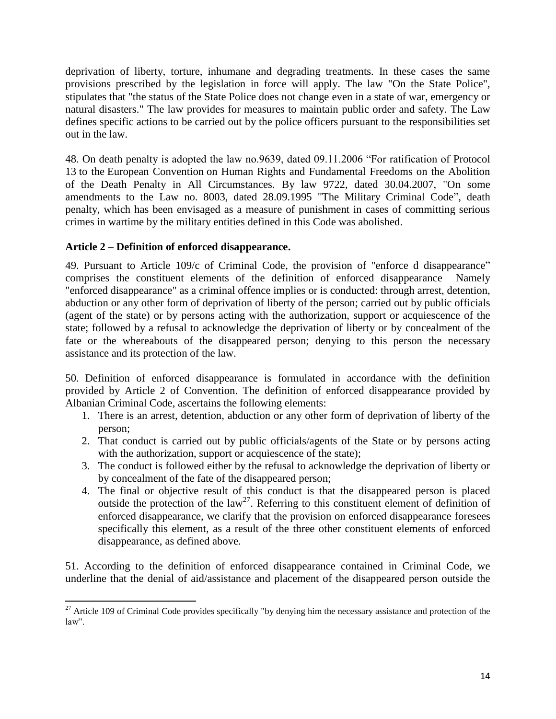deprivation of liberty, torture, inhumane and degrading treatments. In these cases the same provisions prescribed by the legislation in force will apply. The law "On the State Police", stipulates that "the status of the State Police does not change even in a state of war, emergency or natural disasters." The law provides for measures to maintain public order and safety. The Law defines specific actions to be carried out by the police officers pursuant to the responsibilities set out in the law.

48. On death penalty is adopted the law no.9639, dated 09.11.2006 "For ratification of Protocol 13 to the European Convention on Human Rights and Fundamental Freedoms on the Abolition of the Death Penalty in All Circumstances. By law 9722, dated 30.04.2007, "On some amendments to the Law no. 8003, dated 28.09.1995 "The Military Criminal Code", death penalty, which has been envisaged as a measure of punishment in cases of committing serious crimes in wartime by the military entities defined in this Code was abolished.

## **Article 2 – Definition of enforced disappearance.**

49. Pursuant to Article 109/c of Criminal Code, the provision of "enforce d disappearance" comprises the constituent elements of the definition of enforced disappearance Namely "enforced disappearance" as a criminal offence implies or is conducted: through arrest, detention, abduction or any other form of deprivation of liberty of the person; carried out by public officials (agent of the state) or by persons acting with the authorization, support or acquiescence of the state; followed by a refusal to acknowledge the deprivation of liberty or by concealment of the fate or the whereabouts of the disappeared person; denying to this person the necessary assistance and its protection of the law.

50. Definition of enforced disappearance is formulated in accordance with the definition provided by Article 2 of Convention. The definition of enforced disappearance provided by Albanian Criminal Code, ascertains the following elements:

- 1. There is an arrest, detention, abduction or any other form of deprivation of liberty of the person;
- 2. That conduct is carried out by public officials/agents of the State or by persons acting with the authorization, support or acquiescence of the state);
- 3. The conduct is followed either by the refusal to acknowledge the deprivation of liberty or by concealment of the fate of the disappeared person;
- 4. The final or objective result of this conduct is that the disappeared person is placed outside the protection of the  $law^{27}$ . Referring to this constituent element of definition of enforced disappearance, we clarify that the provision on enforced disappearance foresees specifically this element, as a result of the three other constituent elements of enforced disappearance, as defined above.

51. According to the definition of enforced disappearance contained in Criminal Code, we underline that the denial of aid/assistance and placement of the disappeared person outside the

 $\overline{a}$  $27$  Article 109 of Criminal Code provides specifically "by denying him the necessary assistance and protection of the law".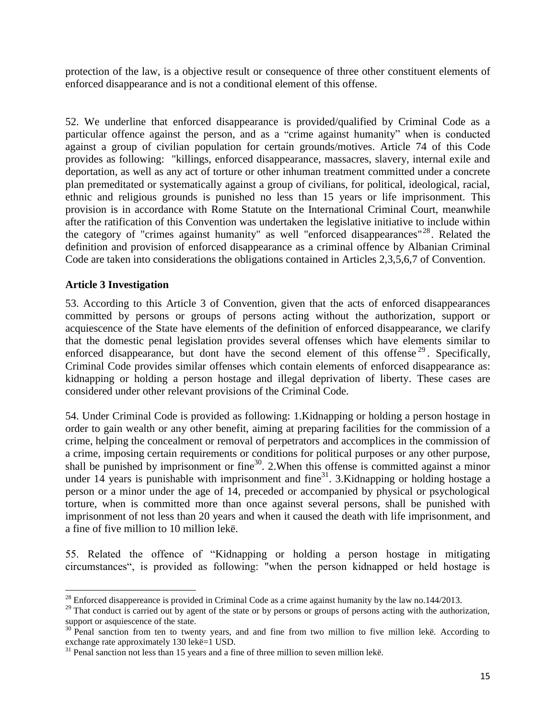protection of the law, is a objective result or consequence of three other constituent elements of enforced disappearance and is not a conditional element of this offense.

52. We underline that enforced disappearance is provided/qualified by Criminal Code as a particular offence against the person, and as a "crime against humanity" when is conducted against a group of civilian population for certain grounds/motives. Article 74 of this Code provides as following: "killings, enforced disappearance, massacres, slavery, internal exile and deportation, as well as any act of torture or other inhuman treatment committed under a concrete plan premeditated or systematically against a group of civilians, for political, ideological, racial, ethnic and religious grounds is punished no less than 15 years or life imprisonment. This provision is in accordance with Rome Statute on the International Criminal Court, meanwhile after the ratification of this Convention was undertaken the legislative initiative to include within the category of "crimes against humanity" as well "enforced disappearances"<sup>28</sup>. Related the definition and provision of enforced disappearance as a criminal offence by Albanian Criminal Code are taken into considerations the obligations contained in Articles 2,3,5,6,7 of Convention.

#### **Article 3 Investigation**

 $\overline{\phantom{a}}$ 

53. According to this Article 3 of Convention, given that the acts of enforced disappearances committed by persons or groups of persons acting without the authorization, support or acquiescence of the State have elements of the definition of enforced disappearance, we clarify that the domestic penal legislation provides several offenses which have elements similar to enforced disappearance, but dont have the second element of this offense<sup>29</sup>. Specifically, Criminal Code provides similar offenses which contain elements of enforced disappearance as: kidnapping or holding a person hostage and illegal deprivation of liberty. These cases are considered under other relevant provisions of the Criminal Code.

54. Under Criminal Code is provided as following: 1.Kidnapping or holding a person hostage in order to gain wealth or any other benefit, aiming at preparing facilities for the commission of a crime, helping the concealment or removal of perpetrators and accomplices in the commission of a crime, imposing certain requirements or conditions for political purposes or any other purpose, shall be punished by imprisonment or fine<sup>30</sup>. 2. When this offense is committed against a minor under 14 years is punishable with imprisonment and fine<sup>31</sup>. 3. Kidnapping or holding hostage a person or a minor under the age of 14, preceded or accompanied by physical or psychological torture, when is committed more than once against several persons, shall be punished with imprisonment of not less than 20 years and when it caused the death with life imprisonment, and a fine of five million to 10 million lekë.

55. Related the offence of "Kidnapping or holding a person hostage in mitigating circumstances", is provided as following: "when the person kidnapped or held hostage is

 $2^8$  Enforced disappereance is provided in Criminal Code as a crime against humanity by the law no.144/2013.

<sup>&</sup>lt;sup>29</sup> That conduct is carried out by agent of the state or by persons or groups of persons acting with the authorization, support or asquiescence of the state.

 $30$  Penal sanction from ten to twenty years, and and fine from two million to five million lekë. According to exchange rate approximately 130 lekë=1 USD.

<sup>&</sup>lt;sup>31</sup> Penal sanction not less than 15 years and a fine of three million to seven million lekë.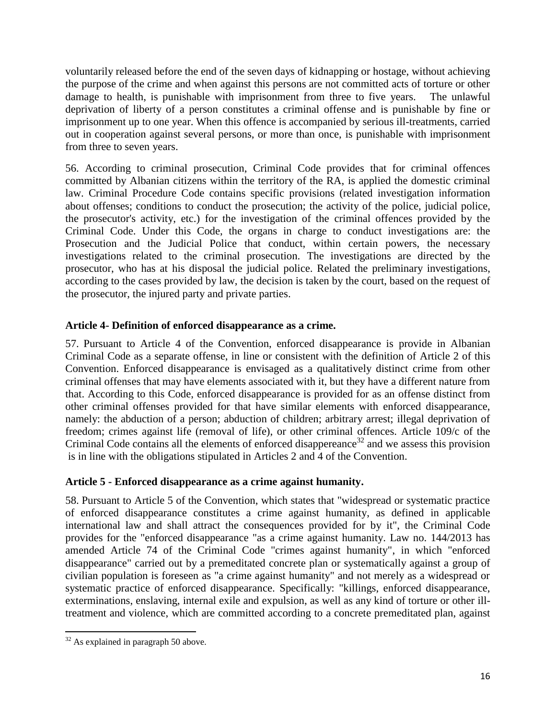voluntarily released before the end of the seven days of kidnapping or hostage, without achieving the purpose of the crime and when against this persons are not committed acts of torture or other damage to health, is punishable with imprisonment from three to five years. The unlawful deprivation of liberty of a person constitutes a criminal offense and is punishable by fine or imprisonment up to one year. When this offence is accompanied by serious ill-treatments, carried out in cooperation against several persons, or more than once, is punishable with imprisonment from three to seven years.

56. According to criminal prosecution, Criminal Code provides that for criminal offences committed by Albanian citizens within the territory of the RA, is applied the domestic criminal law. Criminal Procedure Code contains specific provisions (related investigation information about offenses; conditions to conduct the prosecution; the activity of the police, judicial police, the prosecutor's activity, etc.) for the investigation of the criminal offences provided by the Criminal Code. Under this Code, the organs in charge to conduct investigations are: the Prosecution and the Judicial Police that conduct, within certain powers, the necessary investigations related to the criminal prosecution. The investigations are directed by the prosecutor, who has at his disposal the judicial police. Related the preliminary investigations, according to the cases provided by law, the decision is taken by the court, based on the request of the prosecutor, the injured party and private parties.

## **Article 4- Definition of enforced disappearance as a crime.**

57. Pursuant to Article 4 of the Convention, enforced disappearance is provide in Albanian Criminal Code as a separate offense, in line or consistent with the definition of Article 2 of this Convention. Enforced disappearance is envisaged as a qualitatively distinct crime from other criminal offenses that may have elements associated with it, but they have a different nature from that. According to this Code, enforced disappearance is provided for as an offense distinct from other criminal offenses provided for that have similar elements with enforced disappearance, namely: the abduction of a person; abduction of children; arbitrary arrest; illegal deprivation of freedom; crimes against life (removal of life), or other criminal offences. Article 109/c of the Criminal Code contains all the elements of enforced disappereance<sup>32</sup> and we assess this provision is in line with the obligations stipulated in Articles 2 and 4 of the Convention.

# **Article 5 - Enforced disappearance as a crime against humanity.**

58. Pursuant to Article 5 of the Convention, which states that "widespread or systematic practice of enforced disappearance constitutes a crime against humanity, as defined in applicable international law and shall attract the consequences provided for by it", the Criminal Code provides for the "enforced disappearance "as a crime against humanity. Law no. 144/2013 has amended Article 74 of the Criminal Code "crimes against humanity", in which "enforced disappearance" carried out by a premeditated concrete plan or systematically against a group of civilian population is foreseen as "a crime against humanity" and not merely as a widespread or systematic practice of enforced disappearance. Specifically: "killings, enforced disappearance, exterminations, enslaving, internal exile and expulsion, as well as any kind of torture or other illtreatment and violence, which are committed according to a concrete premeditated plan, against

 $\overline{\phantom{a}}$  $32$  As explained in paragraph 50 above.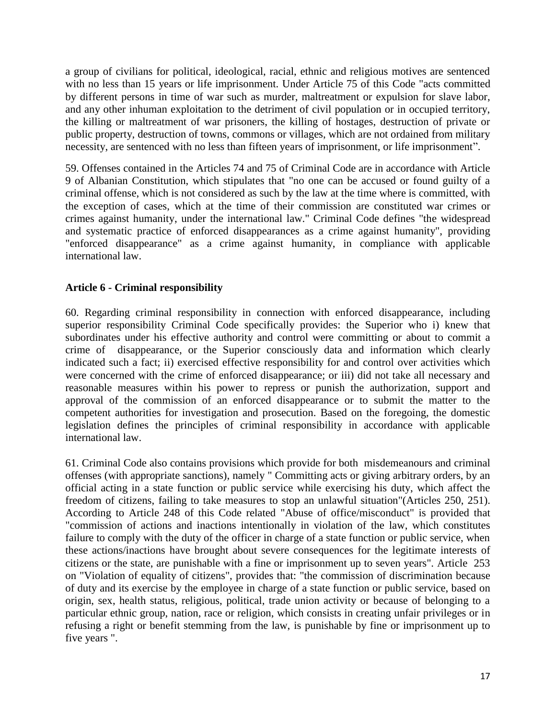a group of civilians for political, ideological, racial, ethnic and religious motives are sentenced with no less than 15 years or life imprisonment. Under Article 75 of this Code "acts committed by different persons in time of war such as murder, maltreatment or expulsion for slave labor, and any other inhuman exploitation to the detriment of civil population or in occupied territory, the killing or maltreatment of war prisoners, the killing of hostages, destruction of private or public property, destruction of towns, commons or villages, which are not ordained from military necessity, are sentenced with no less than fifteen years of imprisonment, or life imprisonment".

59. Offenses contained in the Articles 74 and 75 of Criminal Code are in accordance with Article 9 of Albanian Constitution, which stipulates that "no one can be accused or found guilty of a criminal offense, which is not considered as such by the law at the time where is committed, with the exception of cases, which at the time of their commission are constituted war crimes or crimes against humanity, under the international law." Criminal Code defines "the widespread and systematic practice of enforced disappearances as a crime against humanity", providing "enforced disappearance" as a crime against humanity, in compliance with applicable international law.

## **Article 6 - Criminal responsibility**

60. Regarding criminal responsibility in connection with enforced disappearance, including superior responsibility Criminal Code specifically provides: the Superior who i) knew that subordinates under his effective authority and control were committing or about to commit a crime of disappearance, or the Superior consciously data and information which clearly indicated such a fact; ii) exercised effective responsibility for and control over activities which were concerned with the crime of enforced disappearance; or iii) did not take all necessary and reasonable measures within his power to repress or punish the authorization, support and approval of the commission of an enforced disappearance or to submit the matter to the competent authorities for investigation and prosecution. Based on the foregoing, the domestic legislation defines the principles of criminal responsibility in accordance with applicable international law.

61. Criminal Code also contains provisions which provide for both misdemeanours and criminal offenses (with appropriate sanctions), namely " Committing acts or giving arbitrary orders, by an official acting in a state function or public service while exercising his duty, which affect the freedom of citizens, failing to take measures to stop an unlawful situation"(Articles 250, 251). According to Article 248 of this Code related "Abuse of office/misconduct" is provided that "commission of actions and inactions intentionally in violation of the law, which constitutes failure to comply with the duty of the officer in charge of a state function or public service, when these actions/inactions have brought about severe consequences for the legitimate interests of citizens or the state, are punishable with a fine or imprisonment up to seven years". Article 253 on "Violation of equality of citizens", provides that: "the commission of discrimination because of duty and its exercise by the employee in charge of a state function or public service, based on origin, sex, health status, religious, political, trade union activity or because of belonging to a particular ethnic group, nation, race or religion, which consists in creating unfair privileges or in refusing a right or benefit stemming from the law, is punishable by fine or imprisonment up to five years ".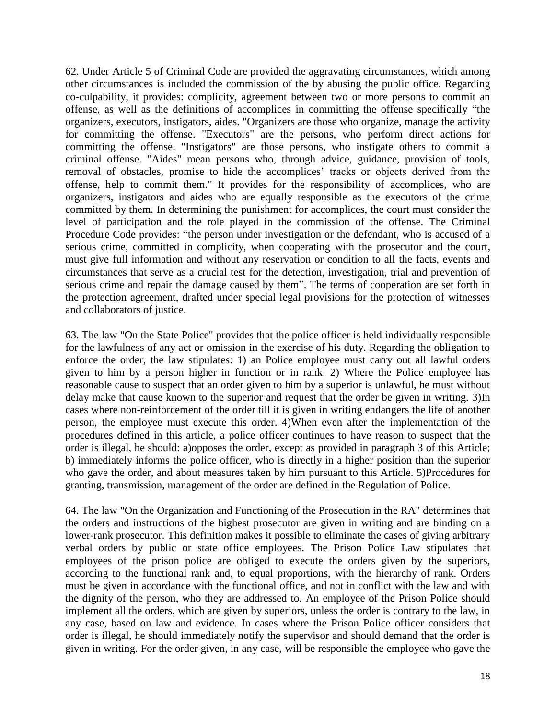62. Under Article 5 of Criminal Code are provided the aggravating circumstances, which among other circumstances is included the commission of the by abusing the public office. Regarding co-culpability, it provides: complicity, agreement between two or more persons to commit an offense, as well as the definitions of accomplices in committing the offense specifically "the organizers, executors, instigators, aides. "Organizers are those who organize, manage the activity for committing the offense. "Executors" are the persons, who perform direct actions for committing the offense. "Instigators" are those persons, who instigate others to commit a criminal offense. "Aides" mean persons who, through advice, guidance, provision of tools, removal of obstacles, promise to hide the accomplices' tracks or objects derived from the offense, help to commit them." It provides for the responsibility of accomplices, who are organizers, instigators and aides who are equally responsible as the executors of the crime committed by them. In determining the punishment for accomplices, the court must consider the level of participation and the role played in the commission of the offense. The Criminal Procedure Code provides: "the person under investigation or the defendant, who is accused of a serious crime, committed in complicity, when cooperating with the prosecutor and the court, must give full information and without any reservation or condition to all the facts, events and circumstances that serve as a crucial test for the detection, investigation, trial and prevention of serious crime and repair the damage caused by them". The terms of cooperation are set forth in the protection agreement, drafted under special legal provisions for the protection of witnesses and collaborators of justice.

63. The law "On the State Police" provides that the police officer is held individually responsible for the lawfulness of any act or omission in the exercise of his duty. Regarding the obligation to enforce the order, the law stipulates: 1) an Police employee must carry out all lawful orders given to him by a person higher in function or in rank. 2) Where the Police employee has reasonable cause to suspect that an order given to him by a superior is unlawful, he must without delay make that cause known to the superior and request that the order be given in writing. 3)In cases where non-reinforcement of the order till it is given in writing endangers the life of another person, the employee must execute this order. 4)When even after the implementation of the procedures defined in this article, a police officer continues to have reason to suspect that the order is illegal, he should: a)opposes the order, except as provided in paragraph 3 of this Article; b) immediately informs the police officer, who is directly in a higher position than the superior who gave the order, and about measures taken by him pursuant to this Article. 5)Procedures for granting, transmission, management of the order are defined in the Regulation of Police.

64. The law "On the Organization and Functioning of the Prosecution in the RA" determines that the orders and instructions of the highest prosecutor are given in writing and are binding on a lower-rank prosecutor. This definition makes it possible to eliminate the cases of giving arbitrary verbal orders by public or state office employees. The Prison Police Law stipulates that employees of the prison police are obliged to execute the orders given by the superiors, according to the functional rank and, to equal proportions, with the hierarchy of rank. Orders must be given in accordance with the functional office, and not in conflict with the law and with the dignity of the person, who they are addressed to. An employee of the Prison Police should implement all the orders, which are given by superiors, unless the order is contrary to the law, in any case, based on law and evidence. In cases where the Prison Police officer considers that order is illegal, he should immediately notify the supervisor and should demand that the order is given in writing. For the order given, in any case, will be responsible the employee who gave the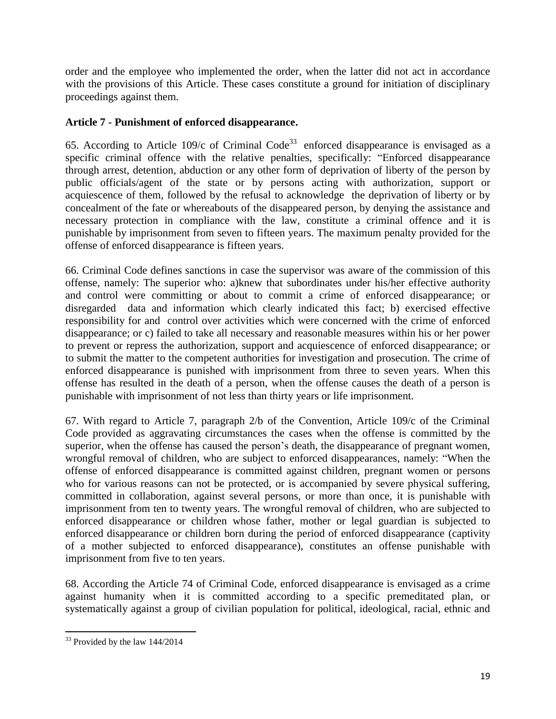order and the employee who implemented the order, when the latter did not act in accordance with the provisions of this Article. These cases constitute a ground for initiation of disciplinary proceedings against them.

## **Article 7 - Punishment of enforced disappearance.**

65. According to Article 109/c of Criminal Code<sup>33</sup> enforced disappearance is envisaged as a specific criminal offence with the relative penalties, specifically: "Enforced disappearance through arrest, detention, abduction or any other form of deprivation of liberty of the person by public officials/agent of the state or by persons acting with authorization, support or acquiescence of them, followed by the refusal to acknowledge the deprivation of liberty or by concealment of the fate or whereabouts of the disappeared person, by denying the assistance and necessary protection in compliance with the law, constitute a criminal offence and it is punishable by imprisonment from seven to fifteen years. The maximum penalty provided for the offense of enforced disappearance is fifteen years.

66. Criminal Code defines sanctions in case the supervisor was aware of the commission of this offense, namely: The superior who: a)knew that subordinates under his/her effective authority and control were committing or about to commit a crime of enforced disappearance; or disregarded data and information which clearly indicated this fact; b) exercised effective responsibility for and control over activities which were concerned with the crime of enforced disappearance; or c) failed to take all necessary and reasonable measures within his or her power to prevent or repress the authorization, support and acquiescence of enforced disappearance; or to submit the matter to the competent authorities for investigation and prosecution. The crime of enforced disappearance is punished with imprisonment from three to seven years. When this offense has resulted in the death of a person, when the offense causes the death of a person is punishable with imprisonment of not less than thirty years or life imprisonment.

67. With regard to Article 7, paragraph 2/b of the Convention, Article 109/c of the Criminal Code provided as aggravating circumstances the cases when the offense is committed by the superior, when the offense has caused the person's death, the disappearance of pregnant women, wrongful removal of children, who are subject to enforced disappearances, namely: "When the offense of enforced disappearance is committed against children, pregnant women or persons who for various reasons can not be protected, or is accompanied by severe physical suffering, committed in collaboration, against several persons, or more than once, it is punishable with imprisonment from ten to twenty years. The wrongful removal of children, who are subjected to enforced disappearance or children whose father, mother or legal guardian is subjected to enforced disappearance or children born during the period of enforced disappearance (captivity of a mother subjected to enforced disappearance), constitutes an offense punishable with imprisonment from five to ten years.

68. According the Article 74 of Criminal Code, enforced disappearance is envisaged as a crime against humanity when it is committed according to a specific premeditated plan, or systematically against a group of civilian population for political, ideological, racial, ethnic and

 $\overline{\phantom{a}}$  $33$  Provided by the law  $144/2014$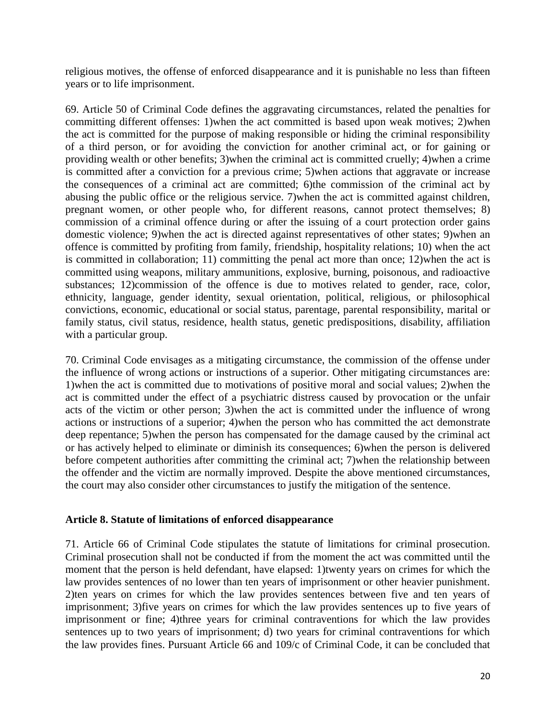religious motives, the offense of enforced disappearance and it is punishable no less than fifteen years or to life imprisonment.

69. Article 50 of Criminal Code defines the aggravating circumstances, related the penalties for committing different offenses: 1)when the act committed is based upon weak motives; 2)when the act is committed for the purpose of making responsible or hiding the criminal responsibility of a third person, or for avoiding the conviction for another criminal act, or for gaining or providing wealth or other benefits; 3)when the criminal act is committed cruelly; 4)when a crime is committed after a conviction for a previous crime; 5)when actions that aggravate or increase the consequences of a criminal act are committed; 6)the commission of the criminal act by abusing the public office or the religious service. 7)when the act is committed against children, pregnant women, or other people who, for different reasons, cannot protect themselves; 8) commission of a criminal offence during or after the issuing of a court protection order gains domestic violence; 9)when the act is directed against representatives of other states; 9)when an offence is committed by profiting from family, friendship, hospitality relations; 10) when the act is committed in collaboration; 11) committing the penal act more than once; 12)when the act is committed using weapons, military ammunitions, explosive, burning, poisonous, and radioactive substances; 12)commission of the offence is due to motives related to gender, race, color, ethnicity, language, gender identity, sexual orientation, political, religious, or philosophical convictions, economic, educational or social status, parentage, parental responsibility, marital or family status, civil status, residence, health status, genetic predispositions, disability, affiliation with a particular group.

70. Criminal Code envisages as a mitigating circumstance, the commission of the offense under the influence of wrong actions or instructions of a superior. Other mitigating circumstances are: 1)when the act is committed due to motivations of positive moral and social values; 2)when the act is committed under the effect of a psychiatric distress caused by provocation or the unfair acts of the victim or other person; 3)when the act is committed under the influence of wrong actions or instructions of a superior; 4)when the person who has committed the act demonstrate deep repentance; 5)when the person has compensated for the damage caused by the criminal act or has actively helped to eliminate or diminish its consequences; 6)when the person is delivered before competent authorities after committing the criminal act; 7)when the relationship between the offender and the victim are normally improved. Despite the above mentioned circumstances, the court may also consider other circumstances to justify the mitigation of the sentence.

#### **Article 8. Statute of limitations of enforced disappearance**

71. Article 66 of Criminal Code stipulates the statute of limitations for criminal prosecution. Criminal prosecution shall not be conducted if from the moment the act was committed until the moment that the person is held defendant, have elapsed: 1)twenty years on crimes for which the law provides sentences of no lower than ten years of imprisonment or other heavier punishment. 2)ten years on crimes for which the law provides sentences between five and ten years of imprisonment; 3)five years on crimes for which the law provides sentences up to five years of imprisonment or fine; 4)three years for criminal contraventions for which the law provides sentences up to two years of imprisonment; d) two years for criminal contraventions for which the law provides fines. Pursuant Article 66 and 109/c of Criminal Code, it can be concluded that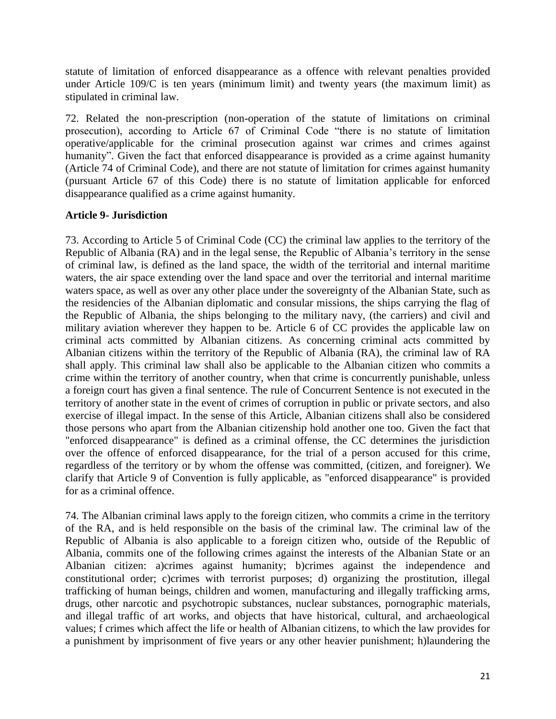statute of limitation of enforced disappearance as a offence with relevant penalties provided under Article 109/C is ten years (minimum limit) and twenty years (the maximum limit) as stipulated in criminal law.

72. Related the non-prescription (non-operation of the statute of limitations on criminal prosecution), according to Article 67 of Criminal Code "there is no statute of limitation operative/applicable for the criminal prosecution against war crimes and crimes against humanity". Given the fact that enforced disappearance is provided as a crime against humanity (Article 74 of Criminal Code), and there are not statute of limitation for crimes against humanity (pursuant Article 67 of this Code) there is no statute of limitation applicable for enforced disappearance qualified as a crime against humanity.

#### **Article 9- Jurisdiction**

73. According to Article 5 of Criminal Code (CC) the criminal law applies to the territory of the Republic of Albania (RA) and in the legal sense, the Republic of Albania's territory in the sense of criminal law, is defined as the land space, the width of the territorial and internal maritime waters, the air space extending over the land space and over the territorial and internal maritime waters space, as well as over any other place under the sovereignty of the Albanian State, such as the residencies of the Albanian diplomatic and consular missions, the ships carrying the flag of the Republic of Albania, the ships belonging to the military navy, (the carriers) and civil and military aviation wherever they happen to be. Article 6 of CC provides the applicable law on criminal acts committed by Albanian citizens. As concerning criminal acts committed by Albanian citizens within the territory of the Republic of Albania (RA), the criminal law of RA shall apply. This criminal law shall also be applicable to the Albanian citizen who commits a crime within the territory of another country, when that crime is concurrently punishable, unless a foreign court has given a final sentence. The rule of Concurrent Sentence is not executed in the territory of another state in the event of crimes of corruption in public or private sectors, and also exercise of illegal impact. In the sense of this Article, Albanian citizens shall also be considered those persons who apart from the Albanian citizenship hold another one too. Given the fact that "enforced disappearance" is defined as a criminal offense, the CC determines the jurisdiction over the offence of enforced disappearance, for the trial of a person accused for this crime, regardless of the territory or by whom the offense was committed, (citizen, and foreigner). We clarify that Article 9 of Convention is fully applicable, as "enforced disappearance" is provided for as a criminal offence.

74. The Albanian criminal laws apply to the foreign citizen, who commits a crime in the territory of the RA, and is held responsible on the basis of the criminal law. The criminal law of the Republic of Albania is also applicable to a foreign citizen who, outside of the Republic of Albania, commits one of the following crimes against the interests of the Albanian State or an Albanian citizen: a)crimes against humanity; b)crimes against the independence and constitutional order; c)crimes with terrorist purposes; d) organizing the prostitution, illegal trafficking of human beings, children and women, manufacturing and illegally trafficking arms, drugs, other narcotic and psychotropic substances, nuclear substances, pornographic materials, and illegal traffic of art works, and objects that have historical, cultural, and archaeological values; f crimes which affect the life or health of Albanian citizens, to which the law provides for a punishment by imprisonment of five years or any other heavier punishment; h)laundering the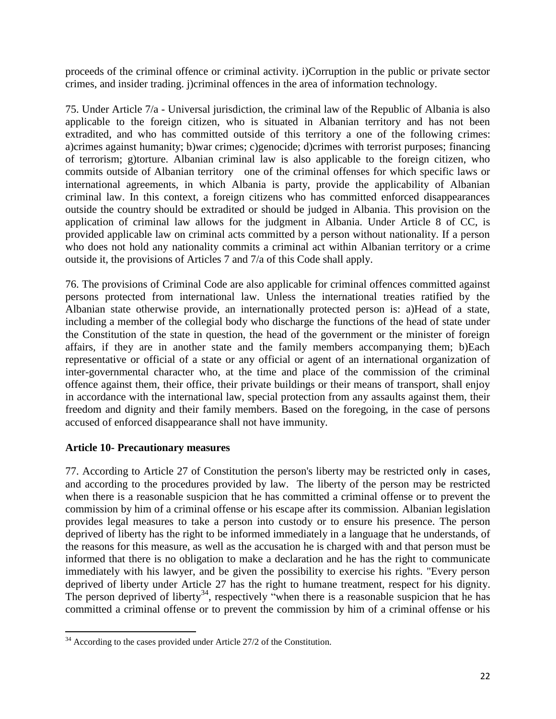proceeds of the criminal offence or criminal activity. i)Corruption in the public or private sector crimes, and insider trading. j)criminal offences in the area of information technology.

75. Under Article 7/a - Universal jurisdiction, the criminal law of the Republic of Albania is also applicable to the foreign citizen, who is situated in Albanian territory and has not been extradited, and who has committed outside of this territory a one of the following crimes: a)crimes against humanity; b)war crimes; c)genocide; d)crimes with terrorist purposes; financing of terrorism; g)torture. Albanian criminal law is also applicable to the foreign citizen, who commits outside of Albanian territory one of the criminal offenses for which specific laws or international agreements, in which Albania is party, provide the applicability of Albanian criminal law. In this context, a foreign citizens who has committed enforced disappearances outside the country should be extradited or should be judged in Albania. This provision on the application of criminal law allows for the judgment in Albania. Under Article 8 of CC, is provided applicable law on criminal acts committed by a person without nationality. If a person who does not hold any nationality commits a criminal act within Albanian territory or a crime outside it, the provisions of Articles 7 and 7/a of this Code shall apply.

76. The provisions of Criminal Code are also applicable for criminal offences committed against persons protected from international law. Unless the international treaties ratified by the Albanian state otherwise provide, an internationally protected person is: a)Head of a state, including a member of the collegial body who discharge the functions of the head of state under the Constitution of the state in question, the head of the government or the minister of foreign affairs, if they are in another state and the family members accompanying them; b)Each representative or official of a state or any official or agent of an international organization of inter-governmental character who, at the time and place of the commission of the criminal offence against them, their office, their private buildings or their means of transport, shall enjoy in accordance with the international law, special protection from any assaults against them, their freedom and dignity and their family members. Based on the foregoing, in the case of persons accused of enforced disappearance shall not have immunity.

## **Article 10- Precautionary measures**

77. According to Article 27 of Constitution the person's liberty may be restricted only in cases, and according to the procedures provided by law. The liberty of the person may be restricted when there is a reasonable suspicion that he has committed a criminal offense or to prevent the commission by him of a criminal offense or his escape after its commission. Albanian legislation provides legal measures to take a person into custody or to ensure his presence. The person deprived of liberty has the right to be informed immediately in a language that he understands, of the reasons for this measure, as well as the accusation he is charged with and that person must be informed that there is no obligation to make a declaration and he has the right to communicate immediately with his lawyer, and be given the possibility to exercise his rights. "Every person deprived of liberty under Article 27 has the right to humane treatment, respect for his dignity. The person deprived of liberty<sup>34</sup>, respectively "when there is a reasonable suspicion that he has committed a criminal offense or to prevent the commission by him of a criminal offense or his

 $\overline{\phantom{a}}$  $34$  According to the cases provided under Article 27/2 of the Constitution.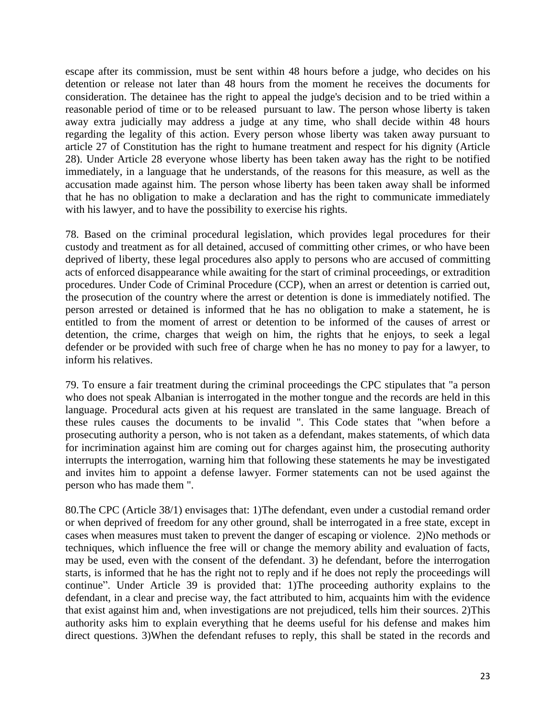escape after its commission, must be sent within 48 hours before a judge, who decides on his detention or release not later than 48 hours from the moment he receives the documents for consideration. The detainee has the right to appeal the judge's decision and to be tried within a reasonable period of time or to be released pursuant to law. The person whose liberty is taken away extra judicially may address a judge at any time, who shall decide within 48 hours regarding the legality of this action. Every person whose liberty was taken away pursuant to article 27 of Constitution has the right to humane treatment and respect for his dignity (Article 28). Under Article 28 everyone whose liberty has been taken away has the right to be notified immediately, in a language that he understands, of the reasons for this measure, as well as the accusation made against him. The person whose liberty has been taken away shall be informed that he has no obligation to make a declaration and has the right to communicate immediately with his lawyer, and to have the possibility to exercise his rights.

78. Based on the criminal procedural legislation, which provides legal procedures for their custody and treatment as for all detained, accused of committing other crimes, or who have been deprived of liberty, these legal procedures also apply to persons who are accused of committing acts of enforced disappearance while awaiting for the start of criminal proceedings, or extradition procedures. Under Code of Criminal Procedure (CCP), when an arrest or detention is carried out, the prosecution of the country where the arrest or detention is done is immediately notified. The person arrested or detained is informed that he has no obligation to make a statement, he is entitled to from the moment of arrest or detention to be informed of the causes of arrest or detention, the crime, charges that weigh on him, the rights that he enjoys, to seek a legal defender or be provided with such free of charge when he has no money to pay for a lawyer, to inform his relatives.

79. To ensure a fair treatment during the criminal proceedings the CPC stipulates that "a person who does not speak Albanian is interrogated in the mother tongue and the records are held in this language. Procedural acts given at his request are translated in the same language. Breach of these rules causes the documents to be invalid ". This Code states that "when before a prosecuting authority a person, who is not taken as a defendant, makes statements, of which data for incrimination against him are coming out for charges against him, the prosecuting authority interrupts the interrogation, warning him that following these statements he may be investigated and invites him to appoint a defense lawyer. Former statements can not be used against the person who has made them ".

80.The CPC (Article 38/1) envisages that: 1)The defendant, even under a custodial remand order or when deprived of freedom for any other ground, shall be interrogated in a free state, except in cases when measures must taken to prevent the danger of escaping or violence. 2)No methods or techniques, which influence the free will or change the memory ability and evaluation of facts, may be used, even with the consent of the defendant. 3) he defendant, before the interrogation starts, is informed that he has the right not to reply and if he does not reply the proceedings will continue". Under Article 39 is provided that: 1)The proceeding authority explains to the defendant, in a clear and precise way, the fact attributed to him, acquaints him with the evidence that exist against him and, when investigations are not prejudiced, tells him their sources. 2)This authority asks him to explain everything that he deems useful for his defense and makes him direct questions. 3)When the defendant refuses to reply, this shall be stated in the records and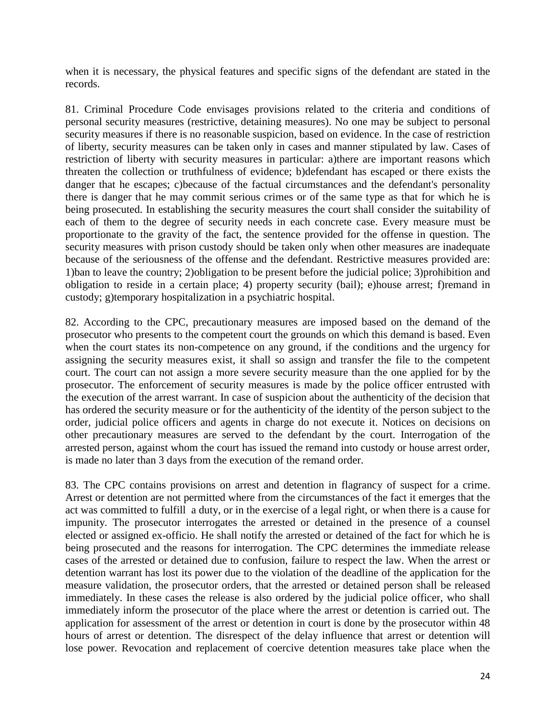when it is necessary, the physical features and specific signs of the defendant are stated in the records.

81. Criminal Procedure Code envisages provisions related to the criteria and conditions of personal security measures (restrictive, detaining measures). No one may be subject to personal security measures if there is no reasonable suspicion, based on evidence. In the case of restriction of liberty, security measures can be taken only in cases and manner stipulated by law. Cases of restriction of liberty with security measures in particular: a)there are important reasons which threaten the collection or truthfulness of evidence; b)defendant has escaped or there exists the danger that he escapes; c)because of the factual circumstances and the defendant's personality there is danger that he may commit serious crimes or of the same type as that for which he is being prosecuted. In establishing the security measures the court shall consider the suitability of each of them to the degree of security needs in each concrete case. Every measure must be proportionate to the gravity of the fact, the sentence provided for the offense in question. The security measures with prison custody should be taken only when other measures are inadequate because of the seriousness of the offense and the defendant. Restrictive measures provided are: 1)ban to leave the country; 2)obligation to be present before the judicial police; 3)prohibition and obligation to reside in a certain place; 4) property security (bail); e)house arrest; f)remand in custody; g)temporary hospitalization in a psychiatric hospital.

82. According to the CPC, precautionary measures are imposed based on the demand of the prosecutor who presents to the competent court the grounds on which this demand is based. Even when the court states its non-competence on any ground, if the conditions and the urgency for assigning the security measures exist, it shall so assign and transfer the file to the competent court. The court can not assign a more severe security measure than the one applied for by the prosecutor. The enforcement of security measures is made by the police officer entrusted with the execution of the arrest warrant. In case of suspicion about the authenticity of the decision that has ordered the security measure or for the authenticity of the identity of the person subject to the order, judicial police officers and agents in charge do not execute it. Notices on decisions on other precautionary measures are served to the defendant by the court. Interrogation of the arrested person, against whom the court has issued the remand into custody or house arrest order, is made no later than 3 days from the execution of the remand order.

83. The CPC contains provisions on arrest and detention in flagrancy of suspect for a crime. Arrest or detention are not permitted where from the circumstances of the fact it emerges that the act was committed to fulfill a duty, or in the exercise of a legal right, or when there is a cause for impunity. The prosecutor interrogates the arrested or detained in the presence of a counsel elected or assigned ex-officio. He shall notify the arrested or detained of the fact for which he is being prosecuted and the reasons for interrogation. The CPC determines the immediate release cases of the arrested or detained due to confusion, failure to respect the law. When the arrest or detention warrant has lost its power due to the violation of the deadline of the application for the measure validation, the prosecutor orders, that the arrested or detained person shall be released immediately. In these cases the release is also ordered by the judicial police officer, who shall immediately inform the prosecutor of the place where the arrest or detention is carried out. The application for assessment of the arrest or detention in court is done by the prosecutor within 48 hours of arrest or detention. The disrespect of the delay influence that arrest or detention will lose power. Revocation and replacement of coercive detention measures take place when the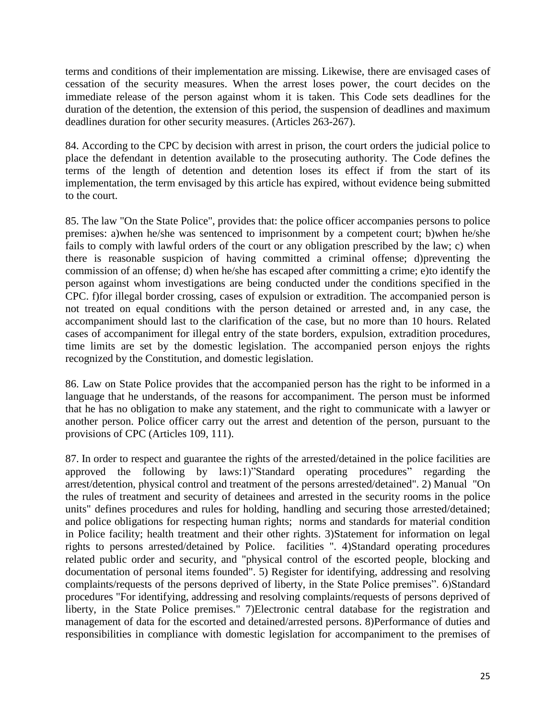terms and conditions of their implementation are missing. Likewise, there are envisaged cases of cessation of the security measures. When the arrest loses power, the court decides on the immediate release of the person against whom it is taken. This Code sets deadlines for the duration of the detention, the extension of this period, the suspension of deadlines and maximum deadlines duration for other security measures. (Articles 263-267).

84. According to the CPC by decision with arrest in prison, the court orders the judicial police to place the defendant in detention available to the prosecuting authority. The Code defines the terms of the length of detention and detention loses its effect if from the start of its implementation, the term envisaged by this article has expired, without evidence being submitted to the court.

85. The law "On the State Police", provides that: the police officer accompanies persons to police premises: a)when he/she was sentenced to imprisonment by a competent court; b)when he/she fails to comply with lawful orders of the court or any obligation prescribed by the law; c) when there is reasonable suspicion of having committed a criminal offense; d)preventing the commission of an offense; d) when he/she has escaped after committing a crime; e)to identify the person against whom investigations are being conducted under the conditions specified in the CPC. f)for illegal border crossing, cases of expulsion or extradition. The accompanied person is not treated on equal conditions with the person detained or arrested and, in any case, the accompaniment should last to the clarification of the case, but no more than 10 hours. Related cases of accompaniment for illegal entry of the state borders, expulsion, extradition procedures, time limits are set by the domestic legislation. The accompanied person enjoys the rights recognized by the Constitution, and domestic legislation.

86. Law on State Police provides that the accompanied person has the right to be informed in a language that he understands, of the reasons for accompaniment. The person must be informed that he has no obligation to make any statement, and the right to communicate with a lawyer or another person. Police officer carry out the arrest and detention of the person, pursuant to the provisions of CPC (Articles 109, 111).

87. In order to respect and guarantee the rights of the arrested/detained in the police facilities are approved the following by laws:1)"Standard operating procedures" regarding the arrest/detention, physical control and treatment of the persons arrested/detained". 2) Manual "On the rules of treatment and security of detainees and arrested in the security rooms in the police units" defines procedures and rules for holding, handling and securing those arrested/detained; and police obligations for respecting human rights; norms and standards for material condition in Police facility; health treatment and their other rights. 3)Statement for information on legal rights to persons arrested/detained by Police. facilities ". 4)Standard operating procedures related public order and security, and "physical control of the escorted people, blocking and documentation of personal items founded". 5) Register for identifying, addressing and resolving complaints/requests of the persons deprived of liberty, in the State Police premises". 6)Standard procedures "For identifying, addressing and resolving complaints/requests of persons deprived of liberty, in the State Police premises." 7)Electronic central database for the registration and management of data for the escorted and detained/arrested persons. 8)Performance of duties and responsibilities in compliance with domestic legislation for accompaniment to the premises of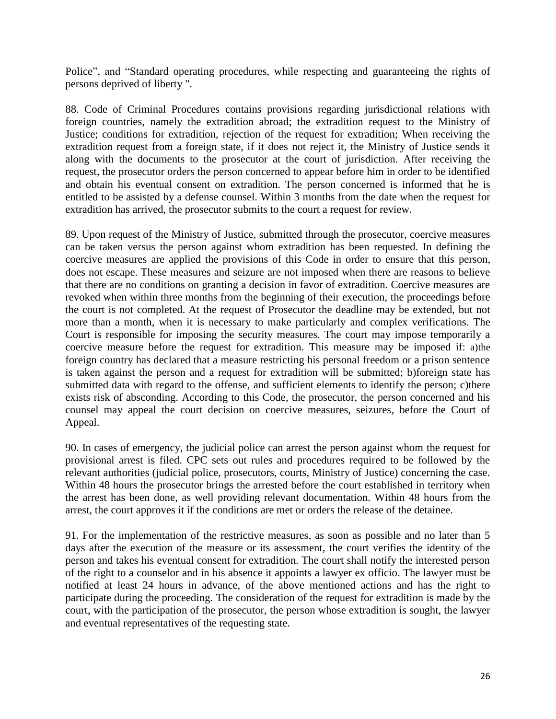Police", and "Standard operating procedures, while respecting and guaranteeing the rights of persons deprived of liberty ".

88. Code of Criminal Procedures contains provisions regarding jurisdictional relations with foreign countries, namely the extradition abroad; the extradition request to the Ministry of Justice; conditions for extradition, rejection of the request for extradition; When receiving the extradition request from a foreign state, if it does not reject it, the Ministry of Justice sends it along with the documents to the prosecutor at the court of jurisdiction. After receiving the request, the prosecutor orders the person concerned to appear before him in order to be identified and obtain his eventual consent on extradition. The person concerned is informed that he is entitled to be assisted by a defense counsel. Within 3 months from the date when the request for extradition has arrived, the prosecutor submits to the court a request for review.

89. Upon request of the Ministry of Justice, submitted through the prosecutor, coercive measures can be taken versus the person against whom extradition has been requested. In defining the coercive measures are applied the provisions of this Code in order to ensure that this person, does not escape. These measures and seizure are not imposed when there are reasons to believe that there are no conditions on granting a decision in favor of extradition. Coercive measures are revoked when within three months from the beginning of their execution, the proceedings before the court is not completed. At the request of Prosecutor the deadline may be extended, but not more than a month, when it is necessary to make particularly and complex verifications. The Court is responsible for imposing the security measures. The court may impose temporarily a coercive measure before the request for extradition. This measure may be imposed if: a)the foreign country has declared that a measure restricting his personal freedom or a prison sentence is taken against the person and a request for extradition will be submitted; b)foreign state has submitted data with regard to the offense, and sufficient elements to identify the person; c) there exists risk of absconding. According to this Code, the prosecutor, the person concerned and his counsel may appeal the court decision on coercive measures, seizures, before the Court of Appeal.

90. In cases of emergency, the judicial police can arrest the person against whom the request for provisional arrest is filed. CPC sets out rules and procedures required to be followed by the relevant authorities (judicial police, prosecutors, courts, Ministry of Justice) concerning the case. Within 48 hours the prosecutor brings the arrested before the court established in territory when the arrest has been done, as well providing relevant documentation. Within 48 hours from the arrest, the court approves it if the conditions are met or orders the release of the detainee.

91. For the implementation of the restrictive measures, as soon as possible and no later than 5 days after the execution of the measure or its assessment, the court verifies the identity of the person and takes his eventual consent for extradition. The court shall notify the interested person of the right to a counselor and in his absence it appoints a lawyer ex officio. The lawyer must be notified at least 24 hours in advance, of the above mentioned actions and has the right to participate during the proceeding. The consideration of the request for extradition is made by the court, with the participation of the prosecutor, the person whose extradition is sought, the lawyer and eventual representatives of the requesting state.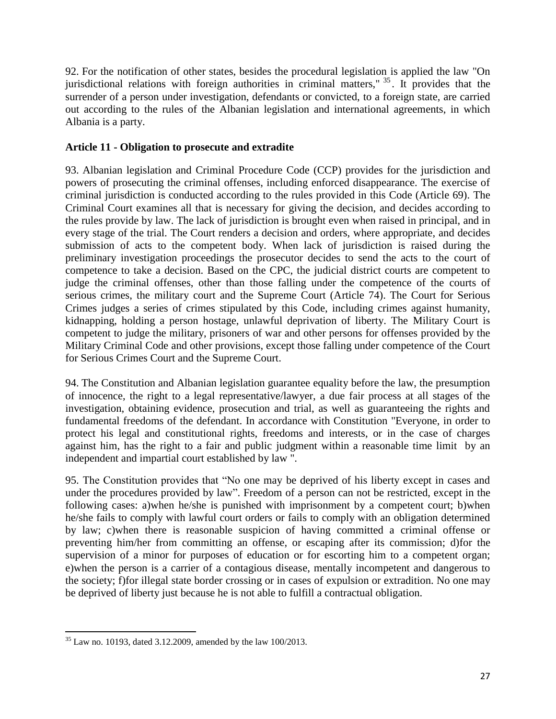92. For the notification of other states, besides the procedural legislation is applied the law "On jurisdictional relations with foreign authorities in criminal matters," <sup>35</sup> . It provides that the surrender of a person under investigation, defendants or convicted, to a foreign state, are carried out according to the rules of the Albanian legislation and international agreements, in which Albania is a party.

## **Article 11 - Obligation to prosecute and extradite**

93. Albanian legislation and Criminal Procedure Code (CCP) provides for the jurisdiction and powers of prosecuting the criminal offenses, including enforced disappearance. The exercise of criminal jurisdiction is conducted according to the rules provided in this Code (Article 69). The Criminal Court examines all that is necessary for giving the decision, and decides according to the rules provide by law. The lack of jurisdiction is brought even when raised in principal, and in every stage of the trial. The Court renders a decision and orders, where appropriate, and decides submission of acts to the competent body. When lack of jurisdiction is raised during the preliminary investigation proceedings the prosecutor decides to send the acts to the court of competence to take a decision. Based on the CPC, the judicial district courts are competent to judge the criminal offenses, other than those falling under the competence of the courts of serious crimes, the military court and the Supreme Court (Article 74). The Court for Serious Crimes judges a series of crimes stipulated by this Code, including crimes against humanity, kidnapping, holding a person hostage, unlawful deprivation of liberty. The Military Court is competent to judge the military, prisoners of war and other persons for offenses provided by the Military Criminal Code and other provisions, except those falling under competence of the Court for Serious Crimes Court and the Supreme Court.

94. The Constitution and Albanian legislation guarantee equality before the law, the presumption of innocence, the right to a legal representative/lawyer, a due fair process at all stages of the investigation, obtaining evidence, prosecution and trial, as well as guaranteeing the rights and fundamental freedoms of the defendant. In accordance with Constitution "Everyone, in order to protect his legal and constitutional rights, freedoms and interests, or in the case of charges against him, has the right to a fair and public judgment within a reasonable time limit by an independent and impartial court established by law ".

95. The Constitution provides that "No one may be deprived of his liberty except in cases and under the procedures provided by law". Freedom of a person can not be restricted, except in the following cases: a)when he/she is punished with imprisonment by a competent court; b)when he/she fails to comply with lawful court orders or fails to comply with an obligation determined by law; c)when there is reasonable suspicion of having committed a criminal offense or preventing him/her from committing an offense, or escaping after its commission; d)for the supervision of a minor for purposes of education or for escorting him to a competent organ; e)when the person is a carrier of a contagious disease, mentally incompetent and dangerous to the society; f)for illegal state border crossing or in cases of expulsion or extradition. No one may be deprived of liberty just because he is not able to fulfill a contractual obligation.

 $\overline{\phantom{a}}$  $35$  Law no. 10193, dated 3.12.2009, amended by the law 100/2013.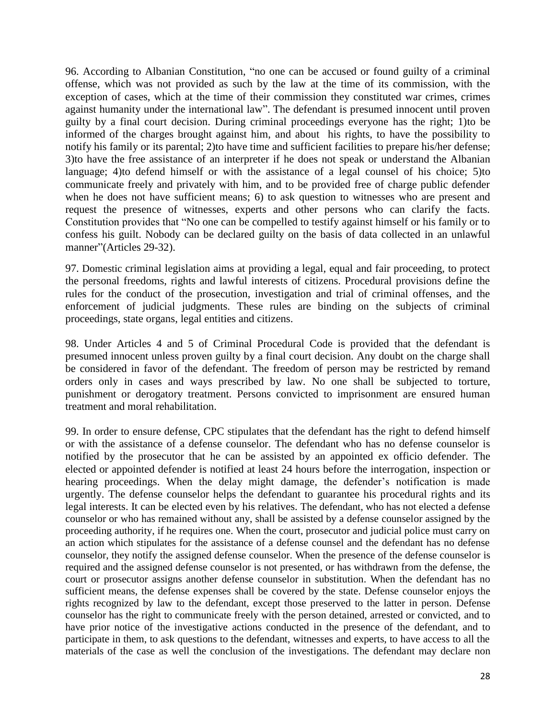96. According to Albanian Constitution, "no one can be accused or found guilty of a criminal offense, which was not provided as such by the law at the time of its commission, with the exception of cases, which at the time of their commission they constituted war crimes, crimes against humanity under the international law". The defendant is presumed innocent until proven guilty by a final court decision. During criminal proceedings everyone has the right; 1)to be informed of the charges brought against him, and about his rights, to have the possibility to notify his family or its parental; 2)to have time and sufficient facilities to prepare his/her defense; 3)to have the free assistance of an interpreter if he does not speak or understand the Albanian language; 4)to defend himself or with the assistance of a legal counsel of his choice; 5)to communicate freely and privately with him, and to be provided free of charge public defender when he does not have sufficient means; 6) to ask question to witnesses who are present and request the presence of witnesses, experts and other persons who can clarify the facts. Constitution provides that "No one can be compelled to testify against himself or his family or to confess his guilt. Nobody can be declared guilty on the basis of data collected in an unlawful manner"(Articles 29-32).

97. Domestic criminal legislation aims at providing a legal, equal and fair proceeding, to protect the personal freedoms, rights and lawful interests of citizens. Procedural provisions define the rules for the conduct of the prosecution, investigation and trial of criminal offenses, and the enforcement of judicial judgments. These rules are binding on the subjects of criminal proceedings, state organs, legal entities and citizens.

98. Under Articles 4 and 5 of Criminal Procedural Code is provided that the defendant is presumed innocent unless proven guilty by a final court decision. Any doubt on the charge shall be considered in favor of the defendant. The freedom of person may be restricted by remand orders only in cases and ways prescribed by law. No one shall be subjected to torture, punishment or derogatory treatment. Persons convicted to imprisonment are ensured human treatment and moral rehabilitation.

99. In order to ensure defense, CPC stipulates that the defendant has the right to defend himself or with the assistance of a defense counselor. The defendant who has no defense counselor is notified by the prosecutor that he can be assisted by an appointed ex officio defender. The elected or appointed defender is notified at least 24 hours before the interrogation, inspection or hearing proceedings. When the delay might damage, the defender's notification is made urgently. The defense counselor helps the defendant to guarantee his procedural rights and its legal interests. It can be elected even by his relatives. The defendant, who has not elected a defense counselor or who has remained without any, shall be assisted by a defense counselor assigned by the proceeding authority, if he requires one. When the court, prosecutor and judicial police must carry on an action which stipulates for the assistance of a defense counsel and the defendant has no defense counselor, they notify the assigned defense counselor. When the presence of the defense counselor is required and the assigned defense counselor is not presented, or has withdrawn from the defense, the court or prosecutor assigns another defense counselor in substitution. When the defendant has no sufficient means, the defense expenses shall be covered by the state. Defense counselor enjoys the rights recognized by law to the defendant, except those preserved to the latter in person. Defense counselor has the right to communicate freely with the person detained, arrested or convicted, and to have prior notice of the investigative actions conducted in the presence of the defendant, and to participate in them, to ask questions to the defendant, witnesses and experts, to have access to all the materials of the case as well the conclusion of the investigations. The defendant may declare non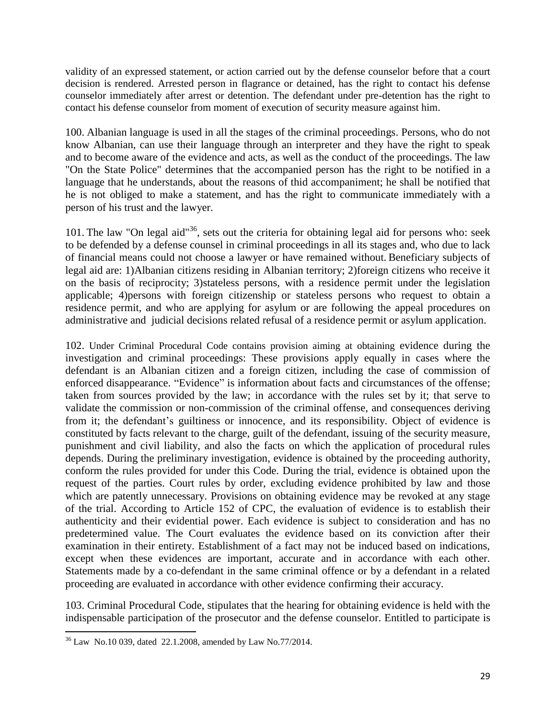validity of an expressed statement, or action carried out by the defense counselor before that a court decision is rendered. Arrested person in flagrance or detained, has the right to contact his defense counselor immediately after arrest or detention. The defendant under pre-detention has the right to contact his defense counselor from moment of execution of security measure against him.

100. Albanian language is used in all the stages of the criminal proceedings. Persons, who do not know Albanian, can use their language through an interpreter and they have the right to speak and to become aware of the evidence and acts, as well as the conduct of the proceedings. The law "On the State Police" determines that the accompanied person has the right to be notified in a language that he understands, about the reasons of thid accompaniment; he shall be notified that he is not obliged to make a statement, and has the right to communicate immediately with a person of his trust and the lawyer.

101. The law "On legal aid"<sup>36</sup>, sets out the criteria for obtaining legal aid for persons who: seek to be defended by a defense counsel in criminal proceedings in all its stages and, who due to lack of financial means could not choose a lawyer or have remained without. Beneficiary subjects of legal aid are: 1)Albanian citizens residing in Albanian territory; 2)foreign citizens who receive it on the basis of reciprocity; 3)stateless persons, with a residence permit under the legislation applicable; 4)persons with foreign citizenship or stateless persons who request to obtain a residence permit, and who are applying for asylum or are following the appeal procedures on administrative and judicial decisions related refusal of a residence permit or asylum application.

102. Under Criminal Procedural Code contains provision aiming at obtaining evidence during the investigation and criminal proceedings: These provisions apply equally in cases where the defendant is an Albanian citizen and a foreign citizen, including the case of commission of enforced disappearance. "Evidence" is information about facts and circumstances of the offense; taken from sources provided by the law; in accordance with the rules set by it; that serve to validate the commission or non-commission of the criminal offense, and consequences deriving from it; the defendant's guiltiness or innocence, and its responsibility. Object of evidence is constituted by facts relevant to the charge, guilt of the defendant, issuing of the security measure, punishment and civil liability, and also the facts on which the application of procedural rules depends. During the preliminary investigation, evidence is obtained by the proceeding authority, conform the rules provided for under this Code. During the trial, evidence is obtained upon the request of the parties. Court rules by order, excluding evidence prohibited by law and those which are patently unnecessary. Provisions on obtaining evidence may be revoked at any stage of the trial. According to Article 152 of CPC, the evaluation of evidence is to establish their authenticity and their evidential power. Each evidence is subject to consideration and has no predetermined value. The Court evaluates the evidence based on its conviction after their examination in their entirety. Establishment of a fact may not be induced based on indications, except when these evidences are important, accurate and in accordance with each other. Statements made by a co-defendant in the same criminal offence or by a defendant in a related proceeding are evaluated in accordance with other evidence confirming their accuracy.

103. Criminal Procedural Code, stipulates that the hearing for obtaining evidence is held with the indispensable participation of the prosecutor and the defense counselor. Entitled to participate is

 $\overline{\phantom{a}}$ 

 $36$  Law No.10 039, dated 22.1.2008, amended by Law No.77/2014.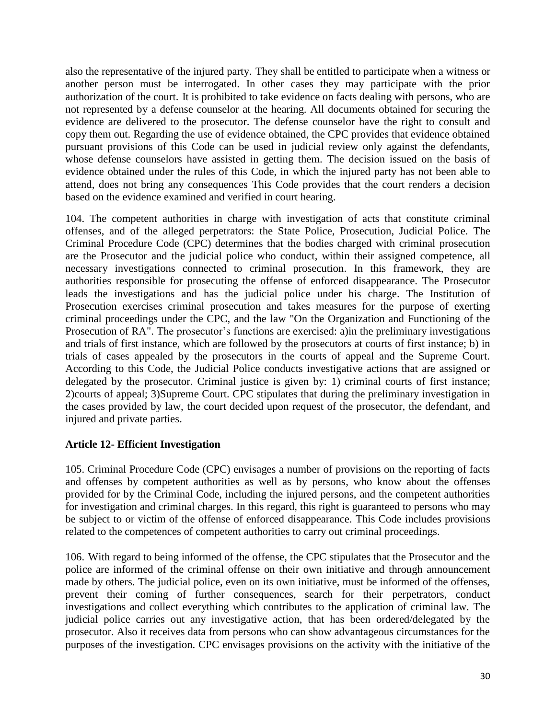also the representative of the injured party. They shall be entitled to participate when a witness or another person must be interrogated. In other cases they may participate with the prior authorization of the court. It is prohibited to take evidence on facts dealing with persons, who are not represented by a defense counselor at the hearing. All documents obtained for securing the evidence are delivered to the prosecutor. The defense counselor have the right to consult and copy them out. Regarding the use of evidence obtained, the CPC provides that evidence obtained pursuant provisions of this Code can be used in judicial review only against the defendants, whose defense counselors have assisted in getting them. The decision issued on the basis of evidence obtained under the rules of this Code, in which the injured party has not been able to attend, does not bring any consequences This Code provides that the court renders a decision based on the evidence examined and verified in court hearing.

104. The competent authorities in charge with investigation of acts that constitute criminal offenses, and of the alleged perpetrators: the State Police, Prosecution, Judicial Police. The Criminal Procedure Code (CPC) determines that the bodies charged with criminal prosecution are the Prosecutor and the judicial police who conduct, within their assigned competence, all necessary investigations connected to criminal prosecution. In this framework, they are authorities responsible for prosecuting the offense of enforced disappearance. The Prosecutor leads the investigations and has the judicial police under his charge. The Institution of Prosecution exercises criminal prosecution and takes measures for the purpose of exerting criminal proceedings under the CPC, and the law "On the Organization and Functioning of the Prosecution of RA". The prosecutor's functions are exercised: a)in the preliminary investigations and trials of first instance, which are followed by the prosecutors at courts of first instance; b) in trials of cases appealed by the prosecutors in the courts of appeal and the Supreme Court. According to this Code, the Judicial Police conducts investigative actions that are assigned or delegated by the prosecutor. Criminal justice is given by: 1) criminal courts of first instance; 2)courts of appeal; 3)Supreme Court. CPC stipulates that during the preliminary investigation in the cases provided by law, the court decided upon request of the prosecutor, the defendant, and injured and private parties.

## **Article 12- Efficient Investigation**

105. Criminal Procedure Code (CPC) envisages a number of provisions on the reporting of facts and offenses by competent authorities as well as by persons, who know about the offenses provided for by the Criminal Code, including the injured persons, and the competent authorities for investigation and criminal charges. In this regard, this right is guaranteed to persons who may be subject to or victim of the offense of enforced disappearance. This Code includes provisions related to the competences of competent authorities to carry out criminal proceedings.

106. With regard to being informed of the offense, the CPC stipulates that the Prosecutor and the police are informed of the criminal offense on their own initiative and through announcement made by others. The judicial police, even on its own initiative, must be informed of the offenses, prevent their coming of further consequences, search for their perpetrators, conduct investigations and collect everything which contributes to the application of criminal law. The judicial police carries out any investigative action, that has been ordered/delegated by the prosecutor. Also it receives data from persons who can show advantageous circumstances for the purposes of the investigation. CPC envisages provisions on the activity with the initiative of the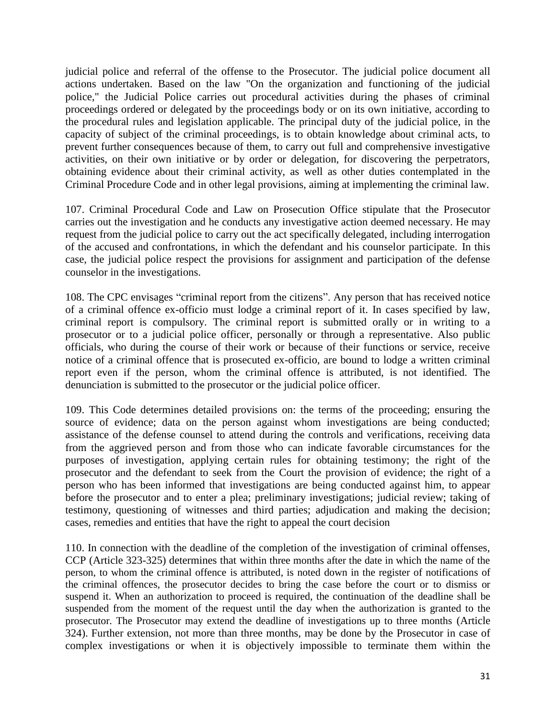judicial police and referral of the offense to the Prosecutor. The judicial police document all actions undertaken. Based on the law "On the organization and functioning of the judicial police," the Judicial Police carries out procedural activities during the phases of criminal proceedings ordered or delegated by the proceedings body or on its own initiative, according to the procedural rules and legislation applicable. The principal duty of the judicial police, in the capacity of subject of the criminal proceedings, is to obtain knowledge about criminal acts, to prevent further consequences because of them, to carry out full and comprehensive investigative activities, on their own initiative or by order or delegation, for discovering the perpetrators, obtaining evidence about their criminal activity, as well as other duties contemplated in the Criminal Procedure Code and in other legal provisions, aiming at implementing the criminal law.

107. Criminal Procedural Code and Law on Prosecution Office stipulate that the Prosecutor carries out the investigation and he conducts any investigative action deemed necessary. He may request from the judicial police to carry out the act specifically delegated, including interrogation of the accused and confrontations, in which the defendant and his counselor participate. In this case, the judicial police respect the provisions for assignment and participation of the defense counselor in the investigations.

108. The CPC envisages "criminal report from the citizens". Any person that has received notice of a criminal offence ex-officio must lodge a criminal report of it. In cases specified by law, criminal report is compulsory. The criminal report is submitted orally or in writing to a prosecutor or to a judicial police officer, personally or through a representative. Also public officials, who during the course of their work or because of their functions or service, receive notice of a criminal offence that is prosecuted ex-officio, are bound to lodge a written criminal report even if the person, whom the criminal offence is attributed, is not identified. The denunciation is submitted to the prosecutor or the judicial police officer.

109. This Code determines detailed provisions on: the terms of the proceeding; ensuring the source of evidence; data on the person against whom investigations are being conducted; assistance of the defense counsel to attend during the controls and verifications, receiving data from the aggrieved person and from those who can indicate favorable circumstances for the purposes of investigation, applying certain rules for obtaining testimony; the right of the prosecutor and the defendant to seek from the Court the provision of evidence; the right of a person who has been informed that investigations are being conducted against him, to appear before the prosecutor and to enter a plea; preliminary investigations; judicial review; taking of testimony, questioning of witnesses and third parties; adjudication and making the decision; cases, remedies and entities that have the right to appeal the court decision

110. In connection with the deadline of the completion of the investigation of criminal offenses, CCP (Article 323-325) determines that within three months after the date in which the name of the person, to whom the criminal offence is attributed, is noted down in the register of notifications of the criminal offences, the prosecutor decides to bring the case before the court or to dismiss or suspend it. When an authorization to proceed is required, the continuation of the deadline shall be suspended from the moment of the request until the day when the authorization is granted to the prosecutor. The Prosecutor may extend the deadline of investigations up to three months (Article 324). Further extension, not more than three months, may be done by the Prosecutor in case of complex investigations or when it is objectively impossible to terminate them within the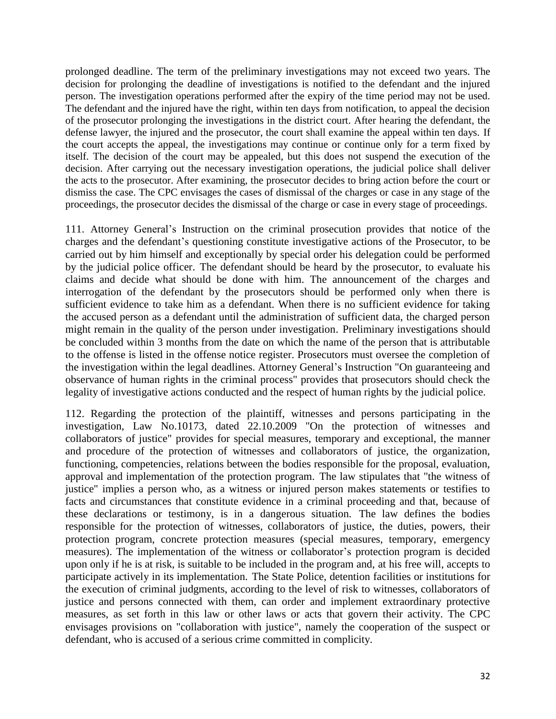prolonged deadline. The term of the preliminary investigations may not exceed two years. The decision for prolonging the deadline of investigations is notified to the defendant and the injured person. The investigation operations performed after the expiry of the time period may not be used. The defendant and the injured have the right, within ten days from notification, to appeal the decision of the prosecutor prolonging the investigations in the district court. After hearing the defendant, the defense lawyer, the injured and the prosecutor, the court shall examine the appeal within ten days. If the court accepts the appeal, the investigations may continue or continue only for a term fixed by itself. The decision of the court may be appealed, but this does not suspend the execution of the decision. After carrying out the necessary investigation operations, the judicial police shall deliver the acts to the prosecutor. After examining, the prosecutor decides to bring action before the court or dismiss the case. The CPC envisages the cases of dismissal of the charges or case in any stage of the proceedings, the prosecutor decides the dismissal of the charge or case in every stage of proceedings.

111. Attorney General's Instruction on the criminal prosecution provides that notice of the charges and the defendant's questioning constitute investigative actions of the Prosecutor, to be carried out by him himself and exceptionally by special order his delegation could be performed by the judicial police officer. The defendant should be heard by the prosecutor, to evaluate his claims and decide what should be done with him. The announcement of the charges and interrogation of the defendant by the prosecutors should be performed only when there is sufficient evidence to take him as a defendant. When there is no sufficient evidence for taking the accused person as a defendant until the administration of sufficient data, the charged person might remain in the quality of the person under investigation. Preliminary investigations should be concluded within 3 months from the date on which the name of the person that is attributable to the offense is listed in the offense notice register. Prosecutors must oversee the completion of the investigation within the legal deadlines. Attorney General's Instruction "On guaranteeing and observance of human rights in the criminal process" provides that prosecutors should check the legality of investigative actions conducted and the respect of human rights by the judicial police.

112. Regarding the protection of the plaintiff, witnesses and persons participating in the investigation, Law No.10173, dated 22.10.2009 "On the protection of witnesses and collaborators of justice" provides for special measures, temporary and exceptional, the manner and procedure of the protection of witnesses and collaborators of justice, the organization, functioning, competencies, relations between the bodies responsible for the proposal, evaluation, approval and implementation of the protection program. The law stipulates that "the witness of justice" implies a person who, as a witness or injured person makes statements or testifies to facts and circumstances that constitute evidence in a criminal proceeding and that, because of these declarations or testimony, is in a dangerous situation. The law defines the bodies responsible for the protection of witnesses, collaborators of justice, the duties, powers, their protection program, concrete protection measures (special measures, temporary, emergency measures). The implementation of the witness or collaborator's protection program is decided upon only if he is at risk, is suitable to be included in the program and, at his free will, accepts to participate actively in its implementation. The State Police, detention facilities or institutions for the execution of criminal judgments, according to the level of risk to witnesses, collaborators of justice and persons connected with them, can order and implement extraordinary protective measures, as set forth in this law or other laws or acts that govern their activity. The CPC envisages provisions on "collaboration with justice", namely the cooperation of the suspect or defendant, who is accused of a serious crime committed in complicity.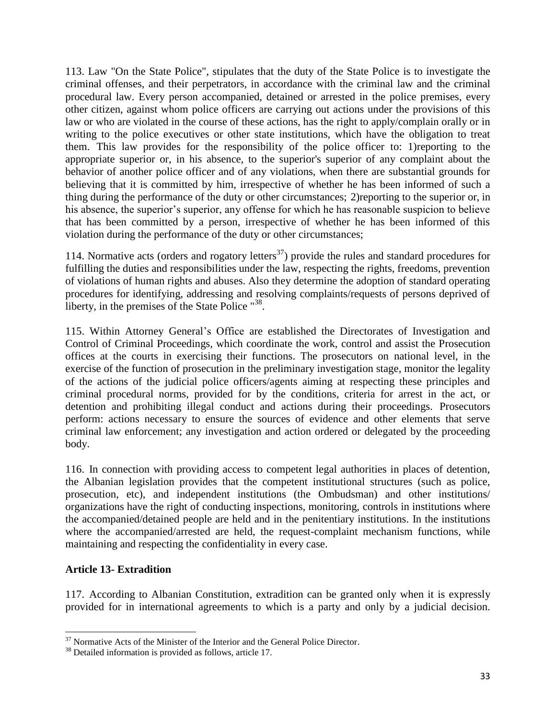113. Law "On the State Police", stipulates that the duty of the State Police is to investigate the criminal offenses, and their perpetrators, in accordance with the criminal law and the criminal procedural law. Every person accompanied, detained or arrested in the police premises, every other citizen, against whom police officers are carrying out actions under the provisions of this law or who are violated in the course of these actions, has the right to apply/complain orally or in writing to the police executives or other state institutions, which have the obligation to treat them. This law provides for the responsibility of the police officer to: 1)reporting to the appropriate superior or, in his absence, to the superior's superior of any complaint about the behavior of another police officer and of any violations, when there are substantial grounds for believing that it is committed by him, irrespective of whether he has been informed of such a thing during the performance of the duty or other circumstances; 2)reporting to the superior or, in his absence, the superior's superior, any offense for which he has reasonable suspicion to believe that has been committed by a person, irrespective of whether he has been informed of this violation during the performance of the duty or other circumstances;

114. Normative acts (orders and rogatory letters<sup>37</sup>) provide the rules and standard procedures for fulfilling the duties and responsibilities under the law, respecting the rights, freedoms, prevention of violations of human rights and abuses. Also they determine the adoption of standard operating procedures for identifying, addressing and resolving complaints/requests of persons deprived of liberty, in the premises of the State Police "<sup>38</sup>.

115. Within Attorney General's Office are established the Directorates of Investigation and Control of Criminal Proceedings, which coordinate the work, control and assist the Prosecution offices at the courts in exercising their functions. The prosecutors on national level, in the exercise of the function of prosecution in the preliminary investigation stage, monitor the legality of the actions of the judicial police officers/agents aiming at respecting these principles and criminal procedural norms, provided for by the conditions, criteria for arrest in the act, or detention and prohibiting illegal conduct and actions during their proceedings. Prosecutors perform: actions necessary to ensure the sources of evidence and other elements that serve criminal law enforcement; any investigation and action ordered or delegated by the proceeding body.

116. In connection with providing access to competent legal authorities in places of detention, the Albanian legislation provides that the competent institutional structures (such as police, prosecution, etc), and independent institutions (the Ombudsman) and other institutions/ organizations have the right of conducting inspections, monitoring, controls in institutions where the accompanied/detained people are held and in the penitentiary institutions. In the institutions where the accompanied/arrested are held, the request-complaint mechanism functions, while maintaining and respecting the confidentiality in every case.

# **Article 13- Extradition**

 $\overline{a}$ 

117. According to Albanian Constitution, extradition can be granted only when it is expressly provided for in international agreements to which is a party and only by a judicial decision.

 $37$  Normative Acts of the Minister of the Interior and the General Police Director.

<sup>38</sup> Detailed information is provided as follows, article 17.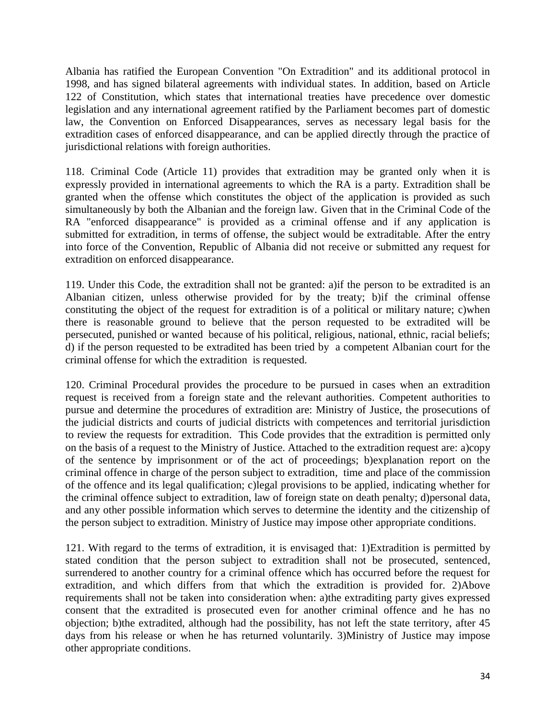Albania has ratified the European Convention "On Extradition" and its additional protocol in 1998, and has signed bilateral agreements with individual states. In addition, based on Article 122 of Constitution, which states that international treaties have precedence over domestic legislation and any international agreement ratified by the Parliament becomes part of domestic law, the Convention on Enforced Disappearances, serves as necessary legal basis for the extradition cases of enforced disappearance, and can be applied directly through the practice of jurisdictional relations with foreign authorities.

118. Criminal Code (Article 11) provides that extradition may be granted only when it is expressly provided in international agreements to which the RA is a party. Extradition shall be granted when the offense which constitutes the object of the application is provided as such simultaneously by both the Albanian and the foreign law. Given that in the Criminal Code of the RA "enforced disappearance" is provided as a criminal offense and if any application is submitted for extradition, in terms of offense, the subject would be extraditable. After the entry into force of the Convention, Republic of Albania did not receive or submitted any request for extradition on enforced disappearance.

119. Under this Code, the extradition shall not be granted: a)if the person to be extradited is an Albanian citizen, unless otherwise provided for by the treaty; b)if the criminal offense constituting the object of the request for extradition is of a political or military nature; c)when there is reasonable ground to believe that the person requested to be extradited will be persecuted, punished or wanted because of his political, religious, national, ethnic, racial beliefs; d) if the person requested to be extradited has been tried by a competent Albanian court for the criminal offense for which the extradition is requested.

120. Criminal Procedural provides the procedure to be pursued in cases when an extradition request is received from a foreign state and the relevant authorities. Competent authorities to pursue and determine the procedures of extradition are: Ministry of Justice, the prosecutions of the judicial districts and courts of judicial districts with competences and territorial jurisdiction to review the requests for extradition. This Code provides that the extradition is permitted only on the basis of a request to the Ministry of Justice. Attached to the extradition request are: a)copy of the sentence by imprisonment or of the act of proceedings; b)explanation report on the criminal offence in charge of the person subject to extradition, time and place of the commission of the offence and its legal qualification; c)legal provisions to be applied, indicating whether for the criminal offence subject to extradition, law of foreign state on death penalty; d)personal data, and any other possible information which serves to determine the identity and the citizenship of the person subject to extradition. Ministry of Justice may impose other appropriate conditions.

121. With regard to the terms of extradition, it is envisaged that: 1)Extradition is permitted by stated condition that the person subject to extradition shall not be prosecuted, sentenced, surrendered to another country for a criminal offence which has occurred before the request for extradition, and which differs from that which the extradition is provided for. 2)Above requirements shall not be taken into consideration when: a)the extraditing party gives expressed consent that the extradited is prosecuted even for another criminal offence and he has no objection; b)the extradited, although had the possibility, has not left the state territory, after 45 days from his release or when he has returned voluntarily. 3)Ministry of Justice may impose other appropriate conditions.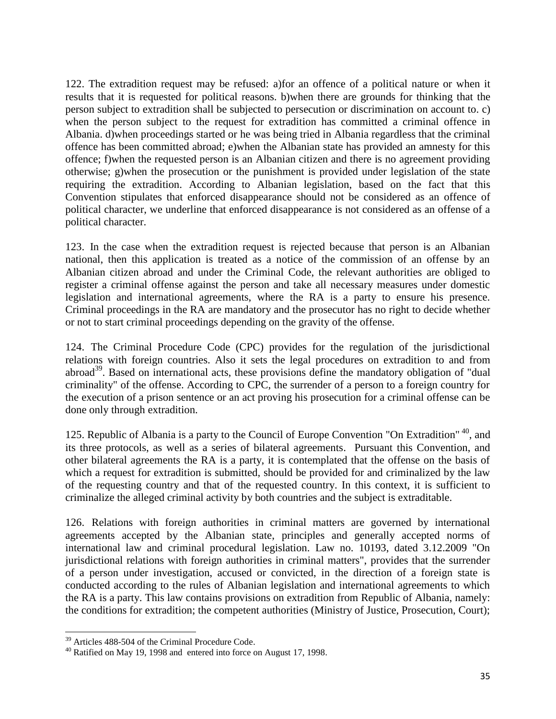122. The extradition request may be refused: a)for an offence of a political nature or when it results that it is requested for political reasons. b)when there are grounds for thinking that the person subject to extradition shall be subjected to persecution or discrimination on account to. c) when the person subject to the request for extradition has committed a criminal offence in Albania. d)when proceedings started or he was being tried in Albania regardless that the criminal offence has been committed abroad; e)when the Albanian state has provided an amnesty for this offence; f)when the requested person is an Albanian citizen and there is no agreement providing otherwise; g)when the prosecution or the punishment is provided under legislation of the state requiring the extradition. According to Albanian legislation, based on the fact that this Convention stipulates that enforced disappearance should not be considered as an offence of political character, we underline that enforced disappearance is not considered as an offense of a political character.

123. In the case when the extradition request is rejected because that person is an Albanian national, then this application is treated as a notice of the commission of an offense by an Albanian citizen abroad and under the Criminal Code, the relevant authorities are obliged to register a criminal offense against the person and take all necessary measures under domestic legislation and international agreements, where the RA is a party to ensure his presence. Criminal proceedings in the RA are mandatory and the prosecutor has no right to decide whether or not to start criminal proceedings depending on the gravity of the offense.

124. The Criminal Procedure Code (CPC) provides for the regulation of the jurisdictional relations with foreign countries. Also it sets the legal procedures on extradition to and from abroad<sup>39</sup>. Based on international acts, these provisions define the mandatory obligation of "dual criminality" of the offense. According to CPC, the surrender of a person to a foreign country for the execution of a prison sentence or an act proving his prosecution for a criminal offense can be done only through extradition.

125. Republic of Albania is a party to the Council of Europe Convention "On Extradition"<sup>40</sup>, and its three protocols, as well as a series of bilateral agreements. Pursuant this Convention, and other bilateral agreements the RA is a party, it is contemplated that the offense on the basis of which a request for extradition is submitted, should be provided for and criminalized by the law of the requesting country and that of the requested country. In this context, it is sufficient to criminalize the alleged criminal activity by both countries and the subject is extraditable.

126. Relations with foreign authorities in criminal matters are governed by international agreements accepted by the Albanian state, principles and generally accepted norms of international law and criminal procedural legislation. Law no. 10193, dated 3.12.2009 "On jurisdictional relations with foreign authorities in criminal matters", provides that the surrender of a person under investigation, accused or convicted, in the direction of a foreign state is conducted according to the rules of Albanian legislation and international agreements to which the RA is a party. This law contains provisions on extradition from Republic of Albania, namely: the conditions for extradition; the competent authorities (Ministry of Justice, Prosecution, Court);

 $\overline{a}$ 

<sup>&</sup>lt;sup>39</sup> Articles 488-504 of the Criminal Procedure Code.

<sup>40</sup> Ratified on May 19, 1998 and entered into force on August 17, 1998.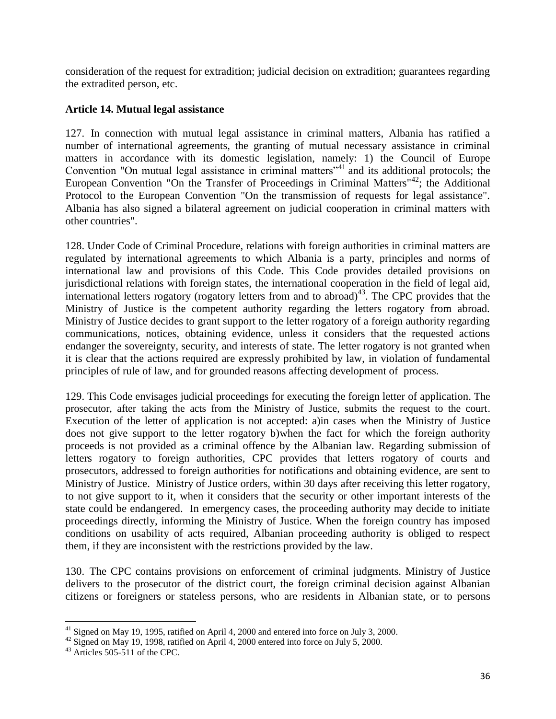consideration of the request for extradition; judicial decision on extradition; guarantees regarding the extradited person, etc.

## **Article 14. Mutual legal assistance**

127. In connection with mutual legal assistance in criminal matters, Albania has ratified a number of international agreements, the granting of mutual necessary assistance in criminal matters in accordance with its domestic legislation, namely: 1) the Council of Europe Convention "On mutual legal assistance in criminal matters"<sup>41</sup> and its additional protocols; the European Convention "On the Transfer of Proceedings in Criminal Matters"<sup>42</sup>; the Additional Protocol to the European Convention "On the transmission of requests for legal assistance". Albania has also signed a bilateral agreement on judicial cooperation in criminal matters with other countries".

128. Under Code of Criminal Procedure, relations with foreign authorities in criminal matters are regulated by international agreements to which Albania is a party, principles and norms of international law and provisions of this Code. This Code provides detailed provisions on jurisdictional relations with foreign states, the international cooperation in the field of legal aid, international letters rogatory (rogatory letters from and to abroad) $43$ . The CPC provides that the Ministry of Justice is the competent authority regarding the letters rogatory from abroad. Ministry of Justice decides to grant support to the letter rogatory of a foreign authority regarding communications, notices, obtaining evidence, unless it considers that the requested actions endanger the sovereignty, security, and interests of state. The letter rogatory is not granted when it is clear that the actions required are expressly prohibited by law, in violation of fundamental principles of rule of law, and for grounded reasons affecting development of process.

129. This Code envisages judicial proceedings for executing the foreign letter of application. The prosecutor, after taking the acts from the Ministry of Justice, submits the request to the court. Execution of the letter of application is not accepted: a)in cases when the Ministry of Justice does not give support to the letter rogatory b)when the fact for which the foreign authority proceeds is not provided as a criminal offence by the Albanian law. Regarding submission of letters rogatory to foreign authorities, CPC provides that letters rogatory of courts and prosecutors, addressed to foreign authorities for notifications and obtaining evidence, are sent to Ministry of Justice. Ministry of Justice orders, within 30 days after receiving this letter rogatory, to not give support to it, when it considers that the security or other important interests of the state could be endangered. In emergency cases, the proceeding authority may decide to initiate proceedings directly, informing the Ministry of Justice. When the foreign country has imposed conditions on usability of acts required, Albanian proceeding authority is obliged to respect them, if they are inconsistent with the restrictions provided by the law.

130. The CPC contains provisions on enforcement of criminal judgments. Ministry of Justice delivers to the prosecutor of the district court, the foreign criminal decision against Albanian citizens or foreigners or stateless persons, who are residents in Albanian state, or to persons

l  $41$  Signed on May 19, 1995, ratified on April 4, 2000 and entered into force on July 3, 2000.

<sup>&</sup>lt;sup>42</sup> Signed on May 19, 1998, ratified on April 4, 2000 entered into force on July 5, 2000.

<sup>43</sup> Articles 505-511 of the CPC.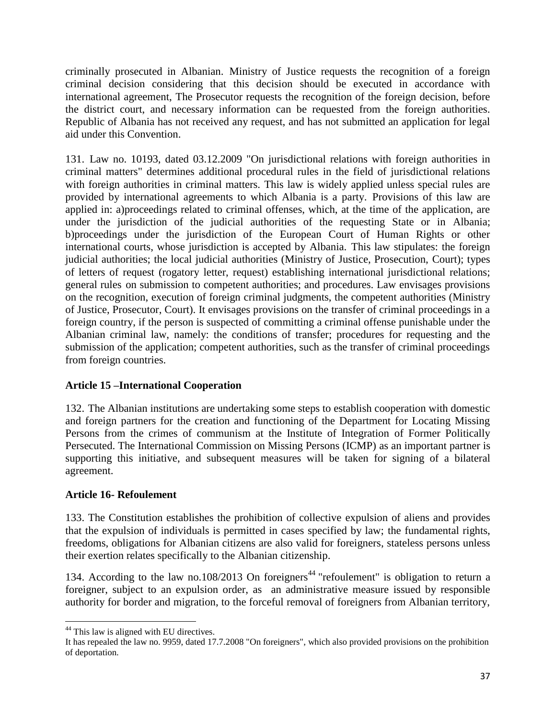criminally prosecuted in Albanian. Ministry of Justice requests the recognition of a foreign criminal decision considering that this decision should be executed in accordance with international agreement, The Prosecutor requests the recognition of the foreign decision, before the district court, and necessary information can be requested from the foreign authorities. Republic of Albania has not received any request, and has not submitted an application for legal aid under this Convention.

131. Law no. 10193, dated 03.12.2009 "On jurisdictional relations with foreign authorities in criminal matters" determines additional procedural rules in the field of jurisdictional relations with foreign authorities in criminal matters. This law is widely applied unless special rules are provided by international agreements to which Albania is a party. Provisions of this law are applied in: a)proceedings related to criminal offenses, which, at the time of the application, are under the jurisdiction of the judicial authorities of the requesting State or in Albania; b)proceedings under the jurisdiction of the European Court of Human Rights or other international courts, whose jurisdiction is accepted by Albania. This law stipulates: the foreign judicial authorities; the local judicial authorities (Ministry of Justice, Prosecution, Court); types of letters of request (rogatory letter, request) establishing international jurisdictional relations; general rules on submission to competent authorities; and procedures. Law envisages provisions on the recognition, execution of foreign criminal judgments, the competent authorities (Ministry of Justice, Prosecutor, Court). It envisages provisions on the transfer of criminal proceedings in a foreign country, if the person is suspected of committing a criminal offense punishable under the Albanian criminal law, namely: the conditions of transfer; procedures for requesting and the submission of the application; competent authorities, such as the transfer of criminal proceedings from foreign countries.

## **Article 15 –International Cooperation**

132. The Albanian institutions are undertaking some steps to establish cooperation with domestic and foreign partners for the creation and functioning of the Department for Locating Missing Persons from the crimes of communism at the Institute of Integration of Former Politically Persecuted. The International Commission on Missing Persons (ICMP) as an important partner is supporting this initiative, and subsequent measures will be taken for signing of a bilateral agreement.

## **Article 16- Refoulement**

133. The Constitution establishes the prohibition of collective expulsion of aliens and provides that the expulsion of individuals is permitted in cases specified by law; the fundamental rights, freedoms, obligations for Albanian citizens are also valid for foreigners, stateless persons unless their exertion relates specifically to the Albanian citizenship.

134. According to the law no.108/2013 On foreigners<sup>44</sup> "refoulement" is obligation to return a foreigner, subject to an expulsion order, as an administrative measure issued by responsible authority for border and migration, to the forceful removal of foreigners from Albanian territory,

l <sup>44</sup> This law is aligned with EU directives.

It has repealed the law no. 9959, dated 17.7.2008 "On foreigners", which also provided provisions on the prohibition of deportation.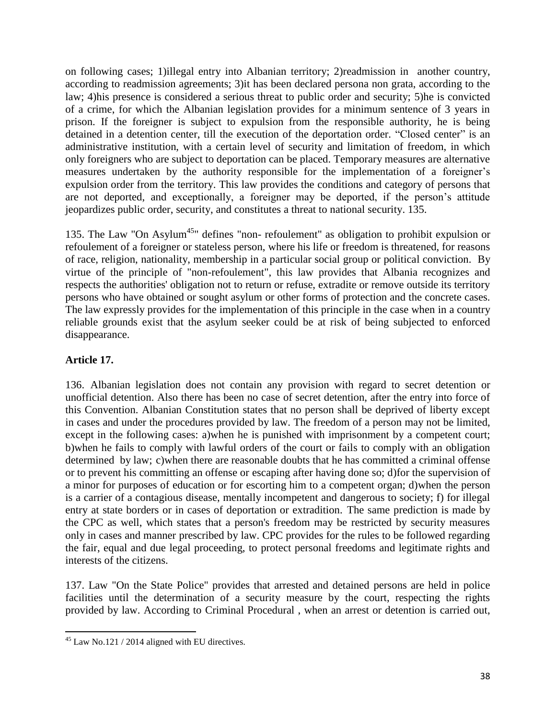on following cases; 1)illegal entry into Albanian territory; 2)readmission in another country, according to readmission agreements; 3)it has been declared persona non grata, according to the law; 4)his presence is considered a serious threat to public order and security; 5)he is convicted of a crime, for which the Albanian legislation provides for a minimum sentence of 3 years in prison. If the foreigner is subject to expulsion from the responsible authority, he is being detained in a detention center, till the execution of the deportation order. "Closed center" is an administrative institution, with a certain level of security and limitation of freedom, in which only foreigners who are subject to deportation can be placed. Temporary measures are alternative measures undertaken by the authority responsible for the implementation of a foreigner's expulsion order from the territory. This law provides the conditions and category of persons that are not deported, and exceptionally, a foreigner may be deported, if the person's attitude jeopardizes public order, security, and constitutes a threat to national security. 135.

135. The Law "On Asylum<sup>45</sup>" defines "non- refoulement" as obligation to prohibit expulsion or refoulement of a foreigner or stateless person, where his life or freedom is threatened, for reasons of race, religion, nationality, membership in a particular social group or political conviction. By virtue of the principle of "non-refoulement", this law provides that Albania recognizes and respects the authorities' obligation not to return or refuse, extradite or remove outside its territory persons who have obtained or sought asylum or other forms of protection and the concrete cases. The law expressly provides for the implementation of this principle in the case when in a country reliable grounds exist that the asylum seeker could be at risk of being subjected to enforced disappearance.

# **Article 17.**

136. Albanian legislation does not contain any provision with regard to secret detention or unofficial detention. Also there has been no case of secret detention, after the entry into force of this Convention. Albanian Constitution states that no person shall be deprived of liberty except in cases and under the procedures provided by law. The freedom of a person may not be limited, except in the following cases: a)when he is punished with imprisonment by a competent court; b)when he fails to comply with lawful orders of the court or fails to comply with an obligation determined by law; c)when there are reasonable doubts that he has committed a criminal offense or to prevent his committing an offense or escaping after having done so; d)for the supervision of a minor for purposes of education or for escorting him to a competent organ; d)when the person is a carrier of a contagious disease, mentally incompetent and dangerous to society; f) for illegal entry at state borders or in cases of deportation or extradition. The same prediction is made by the CPC as well, which states that a person's freedom may be restricted by security measures only in cases and manner prescribed by law. CPC provides for the rules to be followed regarding the fair, equal and due legal proceeding, to protect personal freedoms and legitimate rights and interests of the citizens.

137. Law "On the State Police" provides that arrested and detained persons are held in police facilities until the determination of a security measure by the court, respecting the rights provided by law. According to Criminal Procedural , when an arrest or detention is carried out,

 $\overline{\phantom{a}}$  $45$  Law No.121 / 2014 aligned with EU directives.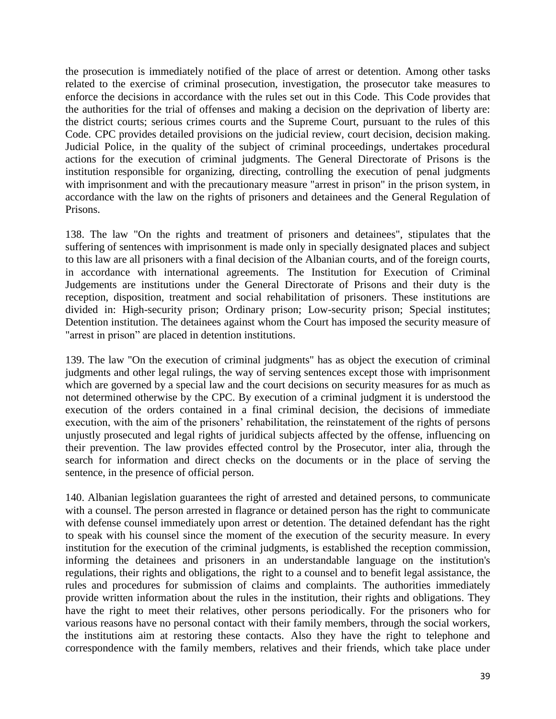the prosecution is immediately notified of the place of arrest or detention. Among other tasks related to the exercise of criminal prosecution, investigation, the prosecutor take measures to enforce the decisions in accordance with the rules set out in this Code. This Code provides that the authorities for the trial of offenses and making a decision on the deprivation of liberty are: the district courts; serious crimes courts and the Supreme Court, pursuant to the rules of this Code. CPC provides detailed provisions on the judicial review, court decision, decision making. Judicial Police, in the quality of the subject of criminal proceedings, undertakes procedural actions for the execution of criminal judgments. The General Directorate of Prisons is the institution responsible for organizing, directing, controlling the execution of penal judgments with imprisonment and with the precautionary measure "arrest in prison" in the prison system, in accordance with the law on the rights of prisoners and detainees and the General Regulation of Prisons.

138. The law "On the rights and treatment of prisoners and detainees", stipulates that the suffering of sentences with imprisonment is made only in specially designated places and subject to this law are all prisoners with a final decision of the Albanian courts, and of the foreign courts, in accordance with international agreements. The Institution for Execution of Criminal Judgements are institutions under the General Directorate of Prisons and their duty is the reception, disposition, treatment and social rehabilitation of prisoners. These institutions are divided in: High-security prison; Ordinary prison; Low-security prison; Special institutes; Detention institution. The detainees against whom the Court has imposed the security measure of "arrest in prison" are placed in detention institutions.

139. The law "On the execution of criminal judgments" has as object the execution of criminal judgments and other legal rulings, the way of serving sentences except those with imprisonment which are governed by a special law and the court decisions on security measures for as much as not determined otherwise by the CPC. By execution of a criminal judgment it is understood the execution of the orders contained in a final criminal decision, the decisions of immediate execution, with the aim of the prisoners' rehabilitation, the reinstatement of the rights of persons unjustly prosecuted and legal rights of juridical subjects affected by the offense, influencing on their prevention. The law provides effected control by the Prosecutor, inter alia, through the search for information and direct checks on the documents or in the place of serving the sentence, in the presence of official person.

140. Albanian legislation guarantees the right of arrested and detained persons, to communicate with a counsel. The person arrested in flagrance or detained person has the right to communicate with defense counsel immediately upon arrest or detention. The detained defendant has the right to speak with his counsel since the moment of the execution of the security measure. In every institution for the execution of the criminal judgments, is established the reception commission, informing the detainees and prisoners in an understandable language on the institution's regulations, their rights and obligations, the right to a counsel and to benefit legal assistance, the rules and procedures for submission of claims and complaints. The authorities immediately provide written information about the rules in the institution, their rights and obligations. They have the right to meet their relatives, other persons periodically. For the prisoners who for various reasons have no personal contact with their family members, through the social workers, the institutions aim at restoring these contacts. Also they have the right to telephone and correspondence with the family members, relatives and their friends, which take place under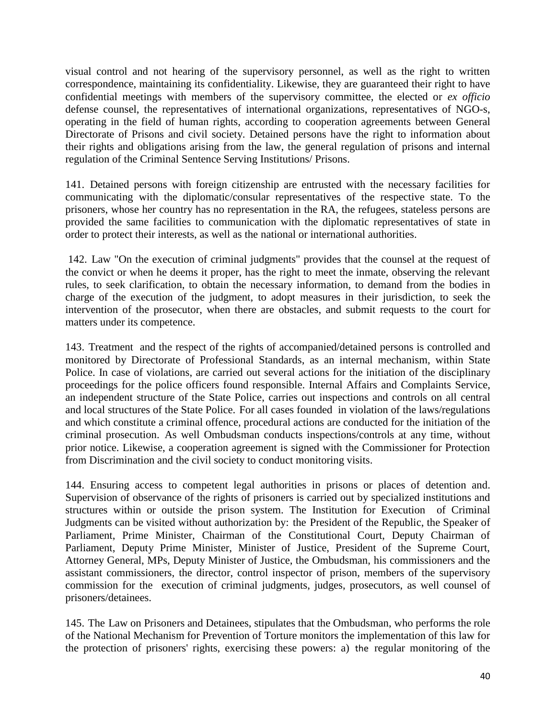visual control and not hearing of the supervisory personnel, as well as the right to written correspondence, maintaining its confidentiality. Likewise, they are guaranteed their right to have confidential meetings with members of the supervisory committee, the elected or *ex officio* defense counsel, the representatives of international organizations, representatives of NGO-s, operating in the field of human rights, according to cooperation agreements between General Directorate of Prisons and civil society. Detained persons have the right to information about their rights and obligations arising from the law, the general regulation of prisons and internal regulation of the Criminal Sentence Serving Institutions/ Prisons.

141. Detained persons with foreign citizenship are entrusted with the necessary facilities for communicating with the diplomatic/consular representatives of the respective state. To the prisoners, whose her country has no representation in the RA, the refugees, stateless persons are provided the same facilities to communication with the diplomatic representatives of state in order to protect their interests, as well as the national or international authorities.

142. Law "On the execution of criminal judgments" provides that the counsel at the request of the convict or when he deems it proper, has the right to meet the inmate, observing the relevant rules, to seek clarification, to obtain the necessary information, to demand from the bodies in charge of the execution of the judgment, to adopt measures in their jurisdiction, to seek the intervention of the prosecutor, when there are obstacles, and submit requests to the court for matters under its competence.

143. Treatment and the respect of the rights of accompanied/detained persons is controlled and monitored by Directorate of Professional Standards, as an internal mechanism, within State Police. In case of violations, are carried out several actions for the initiation of the disciplinary proceedings for the police officers found responsible. Internal Affairs and Complaints Service, an independent structure of the State Police, carries out inspections and controls on all central and local structures of the State Police. For all cases founded in violation of the laws/regulations and which constitute a criminal offence, procedural actions are conducted for the initiation of the criminal prosecution. As well Ombudsman conducts inspections/controls at any time, without prior notice. Likewise, a cooperation agreement is signed with the Commissioner for Protection from Discrimination and the civil society to conduct monitoring visits.

144. Ensuring access to competent legal authorities in prisons or places of detention and. Supervision of observance of the rights of prisoners is carried out by specialized institutions and structures within or outside the prison system. The Institution for Execution of Criminal Judgments can be visited without authorization by: the President of the Republic, the Speaker of Parliament, Prime Minister, Chairman of the Constitutional Court, Deputy Chairman of Parliament, Deputy Prime Minister, Minister of Justice, President of the Supreme Court, Attorney General, MPs, Deputy Minister of Justice, the Ombudsman, his commissioners and the assistant commissioners, the director, control inspector of prison, members of the supervisory commission for the execution of criminal judgments, judges, prosecutors, as well counsel of prisoners/detainees.

145. The Law on Prisoners and Detainees, stipulates that the Ombudsman, who performs the role of the National Mechanism for Prevention of Torture monitors the implementation of this law for the protection of prisoners' rights, exercising these powers: a) the regular monitoring of the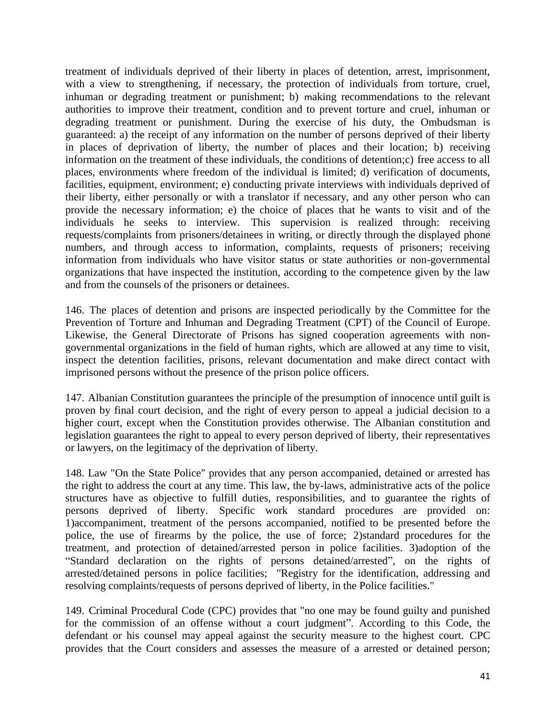treatment of individuals deprived of their liberty in places of detention, arrest, imprisonment, with a view to strengthening, if necessary, the protection of individuals from torture, cruel, inhuman or degrading treatment or punishment; b) making recommendations to the relevant authorities to improve their treatment, condition and to prevent torture and cruel, inhuman or degrading treatment or punishment. During the exercise of his duty, the Ombudsman is guaranteed: a) the receipt of any information on the number of persons deprived of their liberty in places of deprivation of liberty, the number of places and their location; b) receiving information on the treatment of these individuals, the conditions of detention;c) free access to all places, environments where freedom of the individual is limited; d) verification of documents, facilities, equipment, environment; e) conducting private interviews with individuals deprived of their liberty, either personally or with a translator if necessary, and any other person who can provide the necessary information; e) the choice of places that he wants to visit and of the individuals he seeks to interview. This supervision is realized through: receiving requests/complaints from prisoners/detainees in writing, or directly through the displayed phone numbers, and through access to information, complaints, requests of prisoners; receiving information from individuals who have visitor status or state authorities or non-governmental organizations that have inspected the institution, according to the competence given by the law and from the counsels of the prisoners or detainees.

146. The places of detention and prisons are inspected periodically by the Committee for the Prevention of Torture and Inhuman and Degrading Treatment (CPT) of the Council of Europe. Likewise, the General Directorate of Prisons has signed cooperation agreements with nongovernmental organizations in the field of human rights, which are allowed at any time to visit, inspect the detention facilities, prisons, relevant documentation and make direct contact with imprisoned persons without the presence of the prison police officers.

147. Albanian Constitution guarantees the principle of the presumption of innocence until guilt is proven by final court decision, and the right of every person to appeal a judicial decision to a higher court, except when the Constitution provides otherwise. The Albanian constitution and legislation guarantees the right to appeal to every person deprived of liberty, their representatives or lawyers, on the legitimacy of the deprivation of liberty.

148. Law "On the State Police" provides that any person accompanied, detained or arrested has the right to address the court at any time. This law, the by-laws, administrative acts of the police structures have as objective to fulfill duties, responsibilities, and to guarantee the rights of persons deprived of liberty. Specific work standard procedures are provided on: 1)accompaniment, treatment of the persons accompanied, notified to be presented before the police, the use of firearms by the police, the use of force; 2)standard procedures for the treatment, and protection of detained/arrested person in police facilities. 3)adoption of the "Standard declaration on the rights of persons detained/arrested", on the rights of arrested/detained persons in police facilities; "Registry for the identification, addressing and resolving complaints/requests of persons deprived of liberty, in the Police facilities."

149. Criminal Procedural Code (CPC) provides that "no one may be found guilty and punished for the commission of an offense without a court judgment". According to this Code, the defendant or his counsel may appeal against the security measure to the highest court. CPC provides that the Court considers and assesses the measure of a arrested or detained person;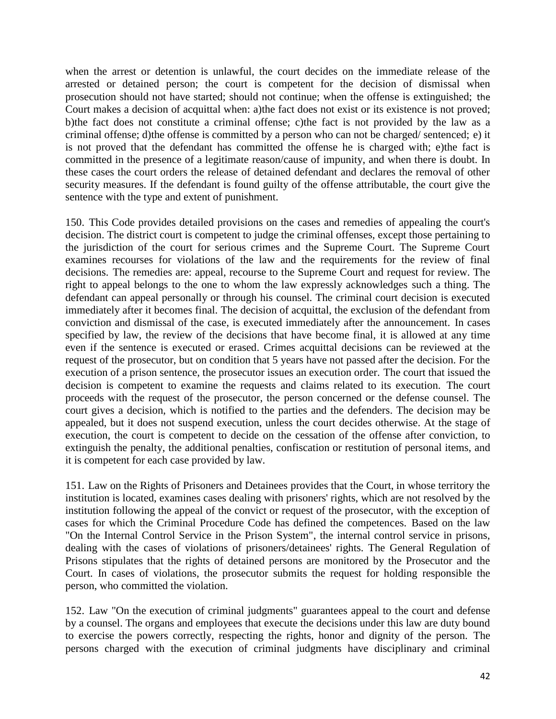when the arrest or detention is unlawful, the court decides on the immediate release of the arrested or detained person; the court is competent for the decision of dismissal when prosecution should not have started; should not continue; when the offense is extinguished; the Court makes a decision of acquittal when: a)the fact does not exist or its existence is not proved; b)the fact does not constitute a criminal offense; c)the fact is not provided by the law as a criminal offense; d)the offense is committed by a person who can not be charged/ sentenced; e) it is not proved that the defendant has committed the offense he is charged with; e)the fact is committed in the presence of a legitimate reason/cause of impunity, and when there is doubt. In these cases the court orders the release of detained defendant and declares the removal of other security measures. If the defendant is found guilty of the offense attributable, the court give the sentence with the type and extent of punishment.

150. This Code provides detailed provisions on the cases and remedies of appealing the court's decision. The district court is competent to judge the criminal offenses, except those pertaining to the jurisdiction of the court for serious crimes and the Supreme Court. The Supreme Court examines recourses for violations of the law and the requirements for the review of final decisions. The remedies are: appeal, recourse to the Supreme Court and request for review. The right to appeal belongs to the one to whom the law expressly acknowledges such a thing. The defendant can appeal personally or through his counsel. The criminal court decision is executed immediately after it becomes final. The decision of acquittal, the exclusion of the defendant from conviction and dismissal of the case, is executed immediately after the announcement. In cases specified by law, the review of the decisions that have become final, it is allowed at any time even if the sentence is executed or erased. Crimes acquittal decisions can be reviewed at the request of the prosecutor, but on condition that 5 years have not passed after the decision. For the execution of a prison sentence, the prosecutor issues an execution order. The court that issued the decision is competent to examine the requests and claims related to its execution. The court proceeds with the request of the prosecutor, the person concerned or the defense counsel. The court gives a decision, which is notified to the parties and the defenders. The decision may be appealed, but it does not suspend execution, unless the court decides otherwise. At the stage of execution, the court is competent to decide on the cessation of the offense after conviction, to extinguish the penalty, the additional penalties, confiscation or restitution of personal items, and it is competent for each case provided by law.

151. Law on the Rights of Prisoners and Detainees provides that the Court, in whose territory the institution is located, examines cases dealing with prisoners' rights, which are not resolved by the institution following the appeal of the convict or request of the prosecutor, with the exception of cases for which the Criminal Procedure Code has defined the competences. Based on the law "On the Internal Control Service in the Prison System", the internal control service in prisons, dealing with the cases of violations of prisoners/detainees' rights. The General Regulation of Prisons stipulates that the rights of detained persons are monitored by the Prosecutor and the Court. In cases of violations, the prosecutor submits the request for holding responsible the person, who committed the violation.

152. Law "On the execution of criminal judgments" guarantees appeal to the court and defense by a counsel. The organs and employees that execute the decisions under this law are duty bound to exercise the powers correctly, respecting the rights, honor and dignity of the person. The persons charged with the execution of criminal judgments have disciplinary and criminal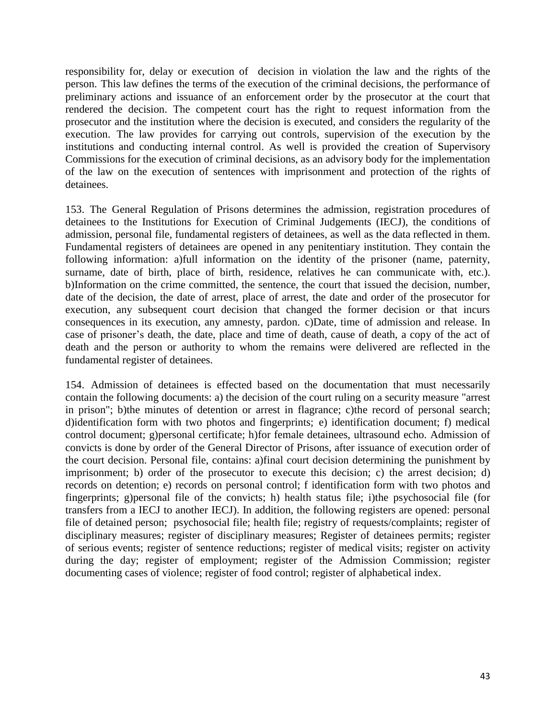responsibility for, delay or execution of decision in violation the law and the rights of the person. This law defines the terms of the execution of the criminal decisions, the performance of preliminary actions and issuance of an enforcement order by the prosecutor at the court that rendered the decision. The competent court has the right to request information from the prosecutor and the institution where the decision is executed, and considers the regularity of the execution. The law provides for carrying out controls, supervision of the execution by the institutions and conducting internal control. As well is provided the creation of Supervisory Commissions for the execution of criminal decisions, as an advisory body for the implementation of the law on the execution of sentences with imprisonment and protection of the rights of detainees.

153. The General Regulation of Prisons determines the admission, registration procedures of detainees to the Institutions for Execution of Criminal Judgements (IECJ), the conditions of admission, personal file, fundamental registers of detainees, as well as the data reflected in them. Fundamental registers of detainees are opened in any penitentiary institution. They contain the following information: a)full information on the identity of the prisoner (name, paternity, surname, date of birth, place of birth, residence, relatives he can communicate with, etc.). b)Information on the crime committed, the sentence, the court that issued the decision, number, date of the decision, the date of arrest, place of arrest, the date and order of the prosecutor for execution, any subsequent court decision that changed the former decision or that incurs consequences in its execution, any amnesty, pardon. c)Date, time of admission and release. In case of prisoner's death, the date, place and time of death, cause of death, a copy of the act of death and the person or authority to whom the remains were delivered are reflected in the fundamental register of detainees.

154. Admission of detainees is effected based on the documentation that must necessarily contain the following documents: a) the decision of the court ruling on a security measure "arrest in prison"; b)the minutes of detention or arrest in flagrance; c)the record of personal search; d)identification form with two photos and fingerprints; e) identification document; f) medical control document; g)personal certificate; h)for female detainees, ultrasound echo. Admission of convicts is done by order of the General Director of Prisons, after issuance of execution order of the court decision. Personal file, contains: a)final court decision determining the punishment by imprisonment; b) order of the prosecutor to execute this decision; c) the arrest decision; d) records on detention; e) records on personal control; f identification form with two photos and fingerprints; g)personal file of the convicts; h) health status file; i)the psychosocial file (for transfers from a IECJ to another IECJ). In addition, the following registers are opened: personal file of detained person; psychosocial file; health file; registry of requests/complaints; register of disciplinary measures; register of disciplinary measures; Register of detainees permits; register of serious events; register of sentence reductions; register of medical visits; register on activity during the day; register of employment; register of the Admission Commission; register documenting cases of violence; register of food control; register of alphabetical index.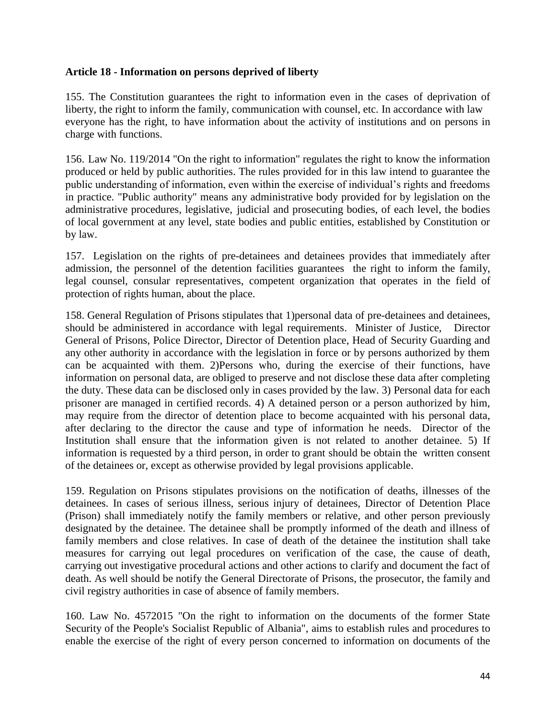#### **Article 18 - Information on persons deprived of liberty**

155. The Constitution guarantees the right to information even in the cases of deprivation of liberty, the right to inform the family, communication with counsel, etc. In accordance with law everyone has the right, to have information about the activity of institutions and on persons in charge with functions.

156. Law No. 119/2014 "On the right to information" regulates the right to know the information produced or held by public authorities. The rules provided for in this law intend to guarantee the public understanding of information, even within the exercise of individual's rights and freedoms in practice. "Public authority" means any administrative body provided for by legislation on the administrative procedures, legislative, judicial and prosecuting bodies, of each level, the bodies of local government at any level, state bodies and public entities, established by Constitution or by law.

157. Legislation on the rights of pre-detainees and detainees provides that immediately after admission, the personnel of the detention facilities guarantees the right to inform the family, legal counsel, consular representatives, competent organization that operates in the field of protection of rights human, about the place.

158. General Regulation of Prisons stipulates that 1)personal data of pre-detainees and detainees, should be administered in accordance with legal requirements. Minister of Justice, Director General of Prisons, Police Director, Director of Detention place, Head of Security Guarding and any other authority in accordance with the legislation in force or by persons authorized by them can be acquainted with them. 2)Persons who, during the exercise of their functions, have information on personal data, are obliged to preserve and not disclose these data after completing the duty. These data can be disclosed only in cases provided by the law. 3) Personal data for each prisoner are managed in certified records. 4) A detained person or a person authorized by him, may require from the director of detention place to become acquainted with his personal data, after declaring to the director the cause and type of information he needs. Director of the Institution shall ensure that the information given is not related to another detainee. 5) If information is requested by a third person, in order to grant should be obtain the written consent of the detainees or, except as otherwise provided by legal provisions applicable.

159. Regulation on Prisons stipulates provisions on the notification of deaths, illnesses of the detainees. In cases of serious illness, serious injury of detainees, Director of Detention Place (Prison) shall immediately notify the family members or relative, and other person previously designated by the detainee. The detainee shall be promptly informed of the death and illness of family members and close relatives. In case of death of the detainee the institution shall take measures for carrying out legal procedures on verification of the case, the cause of death, carrying out investigative procedural actions and other actions to clarify and document the fact of death. As well should be notify the General Directorate of Prisons, the prosecutor, the family and civil registry authorities in case of absence of family members.

160. Law No. 4572015 "On the right to information on the documents of the former State Security of the People's Socialist Republic of Albania", aims to establish rules and procedures to enable the exercise of the right of every person concerned to information on documents of the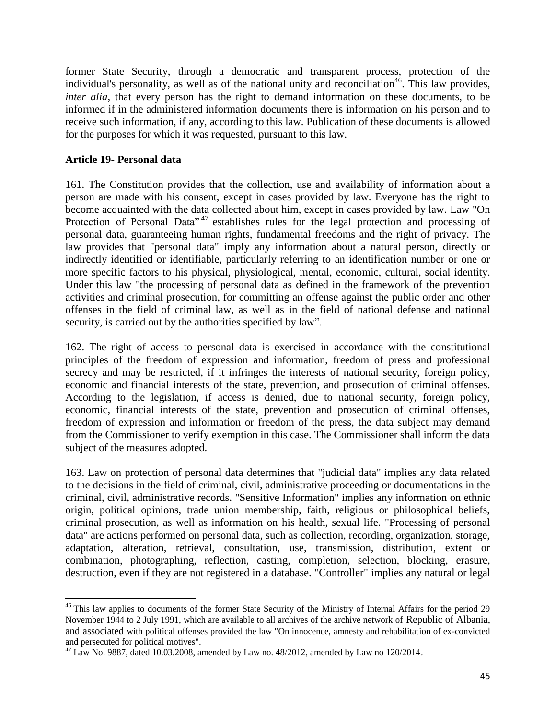former State Security, through a democratic and transparent process, protection of the individual's personality, as well as of the national unity and reconciliation<sup>46</sup>. This law provides, *inter alia*, that every person has the right to demand information on these documents, to be informed if in the administered information documents there is information on his person and to receive such information, if any, according to this law. Publication of these documents is allowed for the purposes for which it was requested, pursuant to this law.

#### **Article 19- Personal data**

161. The Constitution provides that the collection, use and availability of information about a person are made with his consent, except in cases provided by law. Everyone has the right to become acquainted with the data collected about him, except in cases provided by law. Law "On Protection of Personal Data<sup>"47</sup> establishes rules for the legal protection and processing of personal data, guaranteeing human rights, fundamental freedoms and the right of privacy. The law provides that "personal data" imply any information about a natural person, directly or indirectly identified or identifiable, particularly referring to an identification number or one or more specific factors to his physical, physiological, mental, economic, cultural, social identity. Under this law "the processing of personal data as defined in the framework of the prevention activities and criminal prosecution, for committing an offense against the public order and other offenses in the field of criminal law, as well as in the field of national defense and national security, is carried out by the authorities specified by law".

162. The right of access to personal data is exercised in accordance with the constitutional principles of the freedom of expression and information, freedom of press and professional secrecy and may be restricted, if it infringes the interests of national security, foreign policy, economic and financial interests of the state, prevention, and prosecution of criminal offenses. According to the legislation, if access is denied, due to national security, foreign policy, economic, financial interests of the state, prevention and prosecution of criminal offenses, freedom of expression and information or freedom of the press, the data subject may demand from the Commissioner to verify exemption in this case. The Commissioner shall inform the data subject of the measures adopted.

163. Law on protection of personal data determines that "judicial data" implies any data related to the decisions in the field of criminal, civil, administrative proceeding or documentations in the criminal, civil, administrative records. "Sensitive Information" implies any information on ethnic origin, political opinions, trade union membership, faith, religious or philosophical beliefs, criminal prosecution, as well as information on his health, sexual life. "Processing of personal data" are actions performed on personal data, such as collection, recording, organization, storage, adaptation, alteration, retrieval, consultation, use, transmission, distribution, extent or combination, photographing, reflection, casting, completion, selection, blocking, erasure, destruction, even if they are not registered in a database. "Controller" implies any natural or legal

 $\overline{\phantom{a}}$ <sup>46</sup> This law applies to documents of the former State Security of the Ministry of Internal Affairs for the period 29 November 1944 to 2 July 1991, which are available to all archives of the archive network of Republic of Albania, and associated with political offenses provided the law "On innocence, amnesty and rehabilitation of ex-convicted and persecuted for political motives".

<sup>47</sup> Law No. 9887, dated 10.03.2008, amended by Law no. 48/2012, amended by Law no 120/2014.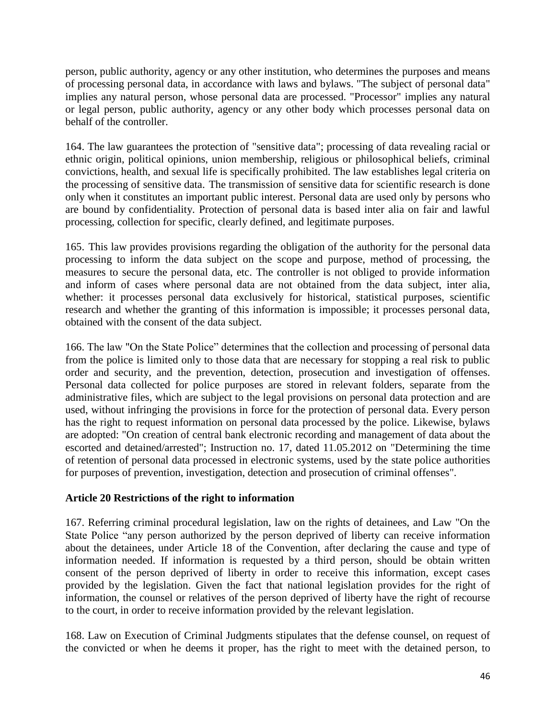person, public authority, agency or any other institution, who determines the purposes and means of processing personal data, in accordance with laws and bylaws. "The subject of personal data" implies any natural person, whose personal data are processed. "Processor" implies any natural or legal person, public authority, agency or any other body which processes personal data on behalf of the controller.

164. The law guarantees the protection of "sensitive data"; processing of data revealing racial or ethnic origin, political opinions, union membership, religious or philosophical beliefs, criminal convictions, health, and sexual life is specifically prohibited. The law establishes legal criteria on the processing of sensitive data. The transmission of sensitive data for scientific research is done only when it constitutes an important public interest. Personal data are used only by persons who are bound by confidentiality. Protection of personal data is based inter alia on fair and lawful processing, collection for specific, clearly defined, and legitimate purposes.

165. This law provides provisions regarding the obligation of the authority for the personal data processing to inform the data subject on the scope and purpose, method of processing, the measures to secure the personal data, etc. The controller is not obliged to provide information and inform of cases where personal data are not obtained from the data subject, inter alia, whether: it processes personal data exclusively for historical, statistical purposes, scientific research and whether the granting of this information is impossible; it processes personal data, obtained with the consent of the data subject.

166. The law "On the State Police" determines that the collection and processing of personal data from the police is limited only to those data that are necessary for stopping a real risk to public order and security, and the prevention, detection, prosecution and investigation of offenses. Personal data collected for police purposes are stored in relevant folders, separate from the administrative files, which are subject to the legal provisions on personal data protection and are used, without infringing the provisions in force for the protection of personal data. Every person has the right to request information on personal data processed by the police. Likewise, bylaws are adopted: "On creation of central bank electronic recording and management of data about the escorted and detained/arrested"; Instruction no. 17, dated 11.05.2012 on "Determining the time of retention of personal data processed in electronic systems, used by the state police authorities for purposes of prevention, investigation, detection and prosecution of criminal offenses".

## **Article 20 Restrictions of the right to information**

167. Referring criminal procedural legislation, law on the rights of detainees, and Law "On the State Police "any person authorized by the person deprived of liberty can receive information about the detainees, under Article 18 of the Convention, after declaring the cause and type of information needed. If information is requested by a third person, should be obtain written consent of the person deprived of liberty in order to receive this information, except cases provided by the legislation. Given the fact that national legislation provides for the right of information, the counsel or relatives of the person deprived of liberty have the right of recourse to the court, in order to receive information provided by the relevant legislation.

168. Law on Execution of Criminal Judgments stipulates that the defense counsel, on request of the convicted or when he deems it proper, has the right to meet with the detained person, to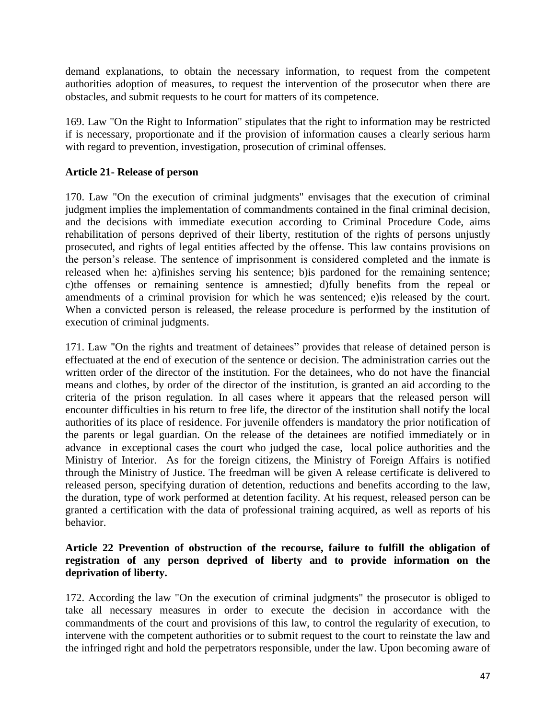demand explanations, to obtain the necessary information, to request from the competent authorities adoption of measures, to request the intervention of the prosecutor when there are obstacles, and submit requests to he court for matters of its competence.

169. Law "On the Right to Information" stipulates that the right to information may be restricted if is necessary, proportionate and if the provision of information causes a clearly serious harm with regard to prevention, investigation, prosecution of criminal offenses.

## **Article 21- Release of person**

170. Law "On the execution of criminal judgments" envisages that the execution of criminal judgment implies the implementation of commandments contained in the final criminal decision, and the decisions with immediate execution according to Criminal Procedure Code, aims rehabilitation of persons deprived of their liberty, restitution of the rights of persons unjustly prosecuted, and rights of legal entities affected by the offense. This law contains provisions on the person's release. The sentence of imprisonment is considered completed and the inmate is released when he: a)finishes serving his sentence; b)is pardoned for the remaining sentence; c)the offenses or remaining sentence is amnestied; d)fully benefits from the repeal or amendments of a criminal provision for which he was sentenced; e)is released by the court. When a convicted person is released, the release procedure is performed by the institution of execution of criminal judgments.

171. Law "On the rights and treatment of detainees" provides that release of detained person is effectuated at the end of execution of the sentence or decision. The administration carries out the written order of the director of the institution. For the detainees, who do not have the financial means and clothes, by order of the director of the institution, is granted an aid according to the criteria of the prison regulation. In all cases where it appears that the released person will encounter difficulties in his return to free life, the director of the institution shall notify the local authorities of its place of residence. For juvenile offenders is mandatory the prior notification of the parents or legal guardian. On the release of the detainees are notified immediately or in advance in exceptional cases the court who judged the case, local police authorities and the Ministry of Interior. As for the foreign citizens, the Ministry of Foreign Affairs is notified through the Ministry of Justice. The freedman will be given A release certificate is delivered to released person, specifying duration of detention, reductions and benefits according to the law, the duration, type of work performed at detention facility. At his request, released person can be granted a certification with the data of professional training acquired, as well as reports of his behavior.

## **Article 22 Prevention of obstruction of the recourse, failure to fulfill the obligation of registration of any person deprived of liberty and to provide information on the deprivation of liberty.**

172. According the law "On the execution of criminal judgments" the prosecutor is obliged to take all necessary measures in order to execute the decision in accordance with the commandments of the court and provisions of this law, to control the regularity of execution, to intervene with the competent authorities or to submit request to the court to reinstate the law and the infringed right and hold the perpetrators responsible, under the law. Upon becoming aware of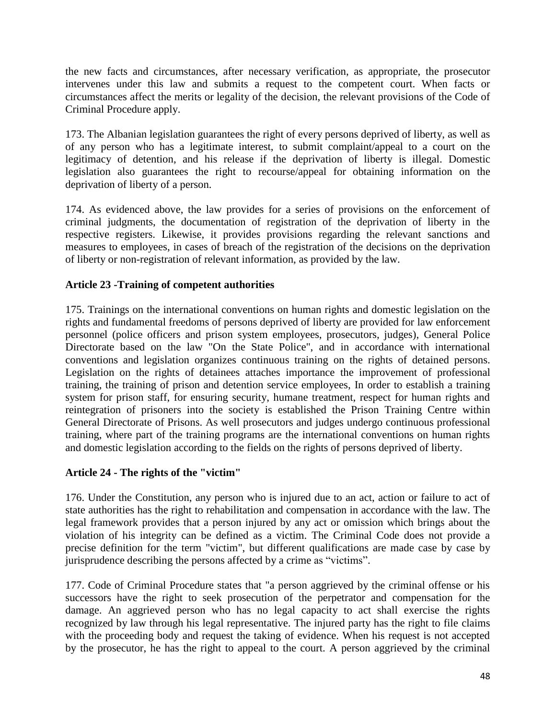the new facts and circumstances, after necessary verification, as appropriate, the prosecutor intervenes under this law and submits a request to the competent court. When facts or circumstances affect the merits or legality of the decision, the relevant provisions of the Code of Criminal Procedure apply.

173. The Albanian legislation guarantees the right of every persons deprived of liberty, as well as of any person who has a legitimate interest, to submit complaint/appeal to a court on the legitimacy of detention, and his release if the deprivation of liberty is illegal. Domestic legislation also guarantees the right to recourse/appeal for obtaining information on the deprivation of liberty of a person.

174. As evidenced above, the law provides for a series of provisions on the enforcement of criminal judgments, the documentation of registration of the deprivation of liberty in the respective registers. Likewise, it provides provisions regarding the relevant sanctions and measures to employees, in cases of breach of the registration of the decisions on the deprivation of liberty or non-registration of relevant information, as provided by the law.

## **Article 23 -Training of competent authorities**

175. Trainings on the international conventions on human rights and domestic legislation on the rights and fundamental freedoms of persons deprived of liberty are provided for law enforcement personnel (police officers and prison system employees, prosecutors, judges), General Police Directorate based on the law "On the State Police", and in accordance with international conventions and legislation organizes continuous training on the rights of detained persons. Legislation on the rights of detainees attaches importance the improvement of professional training, the training of prison and detention service employees, In order to establish a training system for prison staff, for ensuring security, humane treatment, respect for human rights and reintegration of prisoners into the society is established the Prison Training Centre within General Directorate of Prisons. As well prosecutors and judges undergo continuous professional training, where part of the training programs are the international conventions on human rights and domestic legislation according to the fields on the rights of persons deprived of liberty.

## **Article 24 - The rights of the "victim"**

176. Under the Constitution, any person who is injured due to an act, action or failure to act of state authorities has the right to rehabilitation and compensation in accordance with the law. The legal framework provides that a person injured by any act or omission which brings about the violation of his integrity can be defined as a victim. The Criminal Code does not provide a precise definition for the term "victim", but different qualifications are made case by case by jurisprudence describing the persons affected by a crime as "victims".

177. Code of Criminal Procedure states that "a person aggrieved by the criminal offense or his successors have the right to seek prosecution of the perpetrator and compensation for the damage. An aggrieved person who has no legal capacity to act shall exercise the rights recognized by law through his legal representative. The injured party has the right to file claims with the proceeding body and request the taking of evidence. When his request is not accepted by the prosecutor, he has the right to appeal to the court. A person aggrieved by the criminal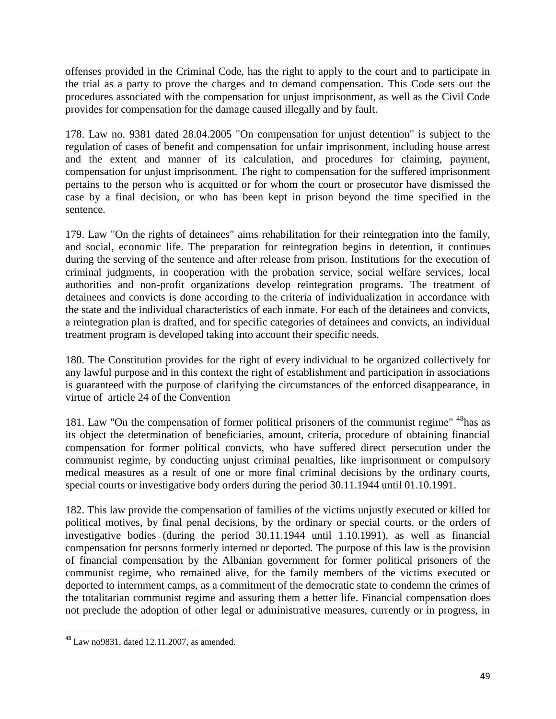offenses provided in the Criminal Code, has the right to apply to the court and to participate in the trial as a party to prove the charges and to demand compensation. This Code sets out the procedures associated with the compensation for unjust imprisonment, as well as the Civil Code provides for compensation for the damage caused illegally and by fault.

178. Law no. 9381 dated 28.04.2005 "On compensation for unjust detention" is subject to the regulation of cases of benefit and compensation for unfair imprisonment, including house arrest and the extent and manner of its calculation, and procedures for claiming, payment, compensation for unjust imprisonment. The right to compensation for the suffered imprisonment pertains to the person who is acquitted or for whom the court or prosecutor have dismissed the case by a final decision, or who has been kept in prison beyond the time specified in the sentence.

179. Law "On the rights of detainees" aims rehabilitation for their reintegration into the family, and social, economic life. The preparation for reintegration begins in detention, it continues during the serving of the sentence and after release from prison. Institutions for the execution of criminal judgments, in cooperation with the probation service, social welfare services, local authorities and non-profit organizations develop reintegration programs. The treatment of detainees and convicts is done according to the criteria of individualization in accordance with the state and the individual characteristics of each inmate. For each of the detainees and convicts, a reintegration plan is drafted, and for specific categories of detainees and convicts, an individual treatment program is developed taking into account their specific needs.

180. The Constitution provides for the right of every individual to be organized collectively for any lawful purpose and in this context the right of establishment and participation in associations is guaranteed with the purpose of clarifying the circumstances of the enforced disappearance, in virtue of article 24 of the Convention

181. Law "On the compensation of former political prisoners of the communist regime" <sup>48</sup>has as its object the determination of beneficiaries, amount, criteria, procedure of obtaining financial compensation for former political convicts, who have suffered direct persecution under the communist regime, by conducting unjust criminal penalties, like imprisonment or compulsory medical measures as a result of one or more final criminal decisions by the ordinary courts, special courts or investigative body orders during the period 30.11.1944 until 01.10.1991.

182. This law provide the compensation of families of the victims unjustly executed or killed for political motives, by final penal decisions, by the ordinary or special courts, or the orders of investigative bodies (during the period 30.11.1944 until 1.10.1991), as well as financial compensation for persons formerly interned or deported. The purpose of this law is the provision of financial compensation by the Albanian government for former political prisoners of the communist regime, who remained alive, for the family members of the victims executed or deported to internment camps, as a commitment of the democratic state to condemn the crimes of the totalitarian communist regime and assuring them a better life. Financial compensation does not preclude the adoption of other legal or administrative measures, currently or in progress, in

 $\overline{\phantom{a}}$ 

 $48$  Law no 9831, dated 12.11.2007, as amended.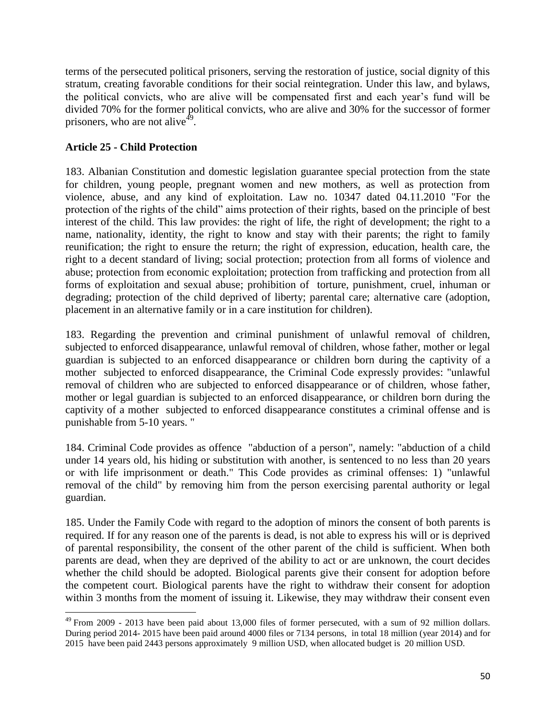terms of the persecuted political prisoners, serving the restoration of justice, social dignity of this stratum, creating favorable conditions for their social reintegration. Under this law, and bylaws, the political convicts, who are alive will be compensated first and each year's fund will be divided 70% for the former political convicts, who are alive and 30% for the successor of former prisoners, who are not alive<sup>49</sup>.

## **Article 25 - Child Protection**

 $\overline{\phantom{a}}$ 

183. Albanian Constitution and domestic legislation guarantee special protection from the state for children, young people, pregnant women and new mothers, as well as protection from violence, abuse, and any kind of exploitation. Law no. 10347 dated 04.11.2010 "For the protection of the rights of the child" aims protection of their rights, based on the principle of best interest of the child. This law provides: the right of life, the right of development; the right to a name, nationality, identity, the right to know and stay with their parents; the right to family reunification; the right to ensure the return; the right of expression, education, health care, the right to a decent standard of living; social protection; protection from all forms of violence and abuse; protection from economic exploitation; protection from trafficking and protection from all forms of exploitation and sexual abuse; prohibition of torture, punishment, cruel, inhuman or degrading; protection of the child deprived of liberty; parental care; alternative care (adoption, placement in an alternative family or in a care institution for children).

183. Regarding the prevention and criminal punishment of unlawful removal of children, subjected to enforced disappearance, unlawful removal of children, whose father, mother or legal guardian is subjected to an enforced disappearance or children born during the captivity of a mother subjected to enforced disappearance, the Criminal Code expressly provides: "unlawful removal of children who are subjected to enforced disappearance or of children, whose father, mother or legal guardian is subjected to an enforced disappearance, or children born during the captivity of a mother subjected to enforced disappearance constitutes a criminal offense and is punishable from 5-10 years. "

184. Criminal Code provides as offence "abduction of a person", namely: "abduction of a child under 14 years old, his hiding or substitution with another, is sentenced to no less than 20 years or with life imprisonment or death." This Code provides as criminal offenses: 1) "unlawful removal of the child" by removing him from the person exercising parental authority or legal guardian.

185. Under the Family Code with regard to the adoption of minors the consent of both parents is required. If for any reason one of the parents is dead, is not able to express his will or is deprived of parental responsibility, the consent of the other parent of the child is sufficient. When both parents are dead, when they are deprived of the ability to act or are unknown, the court decides whether the child should be adopted. Biological parents give their consent for adoption before the competent court. Biological parents have the right to withdraw their consent for adoption within 3 months from the moment of issuing it. Likewise, they may withdraw their consent even

 $^{49}$  From 2009 - 2013 have been paid about 13,000 files of former persecuted, with a sum of 92 million dollars. During period 2014- 2015 have been paid around 4000 files or 7134 persons, in total 18 million (year 2014) and for 2015 have been paid 2443 persons approximately 9 million USD, when allocated budget is 20 million USD.